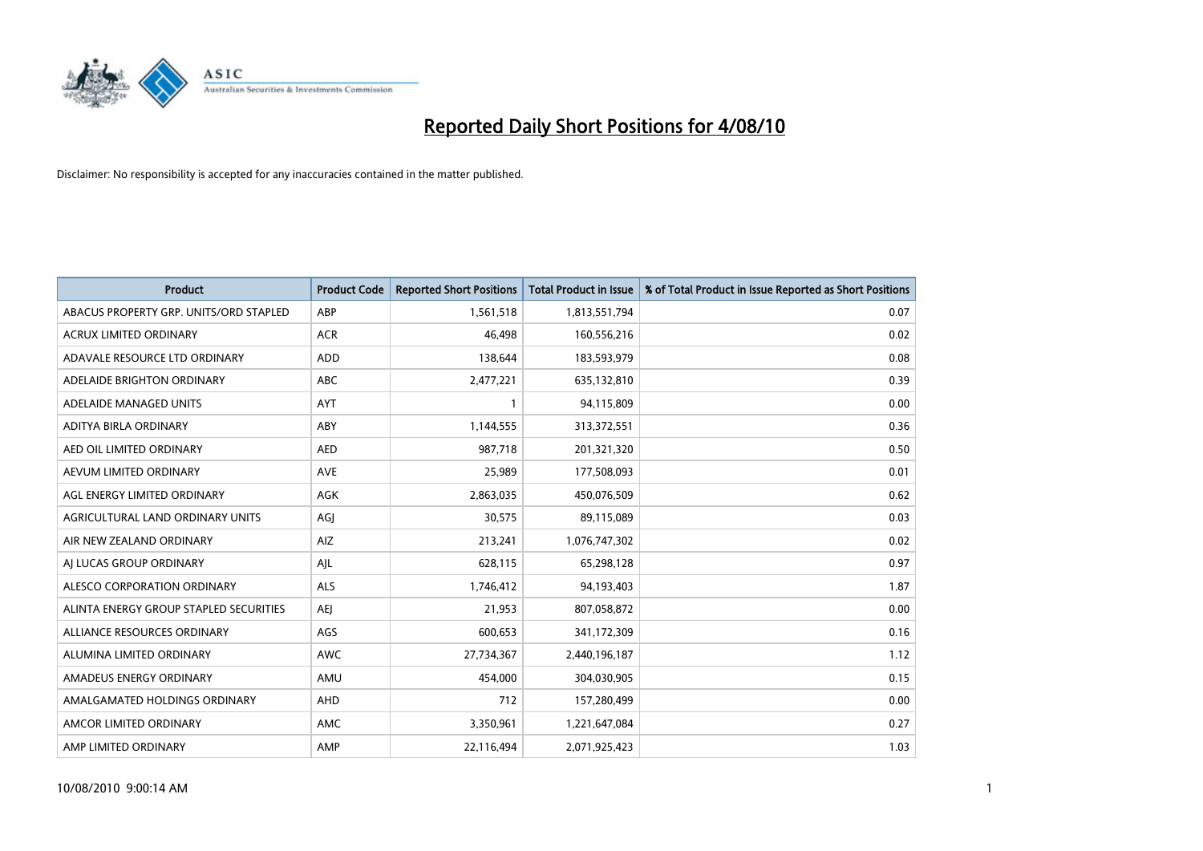

| <b>Product</b>                         | <b>Product Code</b> | <b>Reported Short Positions</b> | Total Product in Issue | % of Total Product in Issue Reported as Short Positions |
|----------------------------------------|---------------------|---------------------------------|------------------------|---------------------------------------------------------|
| ABACUS PROPERTY GRP. UNITS/ORD STAPLED | ABP                 | 1,561,518                       | 1,813,551,794          | 0.07                                                    |
| ACRUX LIMITED ORDINARY                 | <b>ACR</b>          | 46,498                          | 160,556,216            | 0.02                                                    |
| ADAVALE RESOURCE LTD ORDINARY          | ADD                 | 138,644                         | 183,593,979            | 0.08                                                    |
| ADELAIDE BRIGHTON ORDINARY             | <b>ABC</b>          | 2,477,221                       | 635,132,810            | 0.39                                                    |
| ADELAIDE MANAGED UNITS                 | <b>AYT</b>          |                                 | 94,115,809             | 0.00                                                    |
| ADITYA BIRLA ORDINARY                  | ABY                 | 1,144,555                       | 313,372,551            | 0.36                                                    |
| AED OIL LIMITED ORDINARY               | <b>AED</b>          | 987,718                         | 201,321,320            | 0.50                                                    |
| AEVUM LIMITED ORDINARY                 | <b>AVE</b>          | 25,989                          | 177,508,093            | 0.01                                                    |
| AGL ENERGY LIMITED ORDINARY            | <b>AGK</b>          | 2,863,035                       | 450,076,509            | 0.62                                                    |
| AGRICULTURAL LAND ORDINARY UNITS       | AGI                 | 30,575                          | 89,115,089             | 0.03                                                    |
| AIR NEW ZEALAND ORDINARY               | AIZ                 | 213,241                         | 1,076,747,302          | 0.02                                                    |
| AI LUCAS GROUP ORDINARY                | AJL                 | 628,115                         | 65,298,128             | 0.97                                                    |
| ALESCO CORPORATION ORDINARY            | <b>ALS</b>          | 1,746,412                       | 94,193,403             | 1.87                                                    |
| ALINTA ENERGY GROUP STAPLED SECURITIES | <b>AEI</b>          | 21,953                          | 807,058,872            | 0.00                                                    |
| ALLIANCE RESOURCES ORDINARY            | AGS                 | 600,653                         | 341,172,309            | 0.16                                                    |
| ALUMINA LIMITED ORDINARY               | <b>AWC</b>          | 27,734,367                      | 2,440,196,187          | 1.12                                                    |
| AMADEUS ENERGY ORDINARY                | AMU                 | 454,000                         | 304,030,905            | 0.15                                                    |
| AMALGAMATED HOLDINGS ORDINARY          | AHD                 | 712                             | 157,280,499            | 0.00                                                    |
| AMCOR LIMITED ORDINARY                 | <b>AMC</b>          | 3,350,961                       | 1,221,647,084          | 0.27                                                    |
| AMP LIMITED ORDINARY                   | AMP                 | 22,116,494                      | 2,071,925,423          | 1.03                                                    |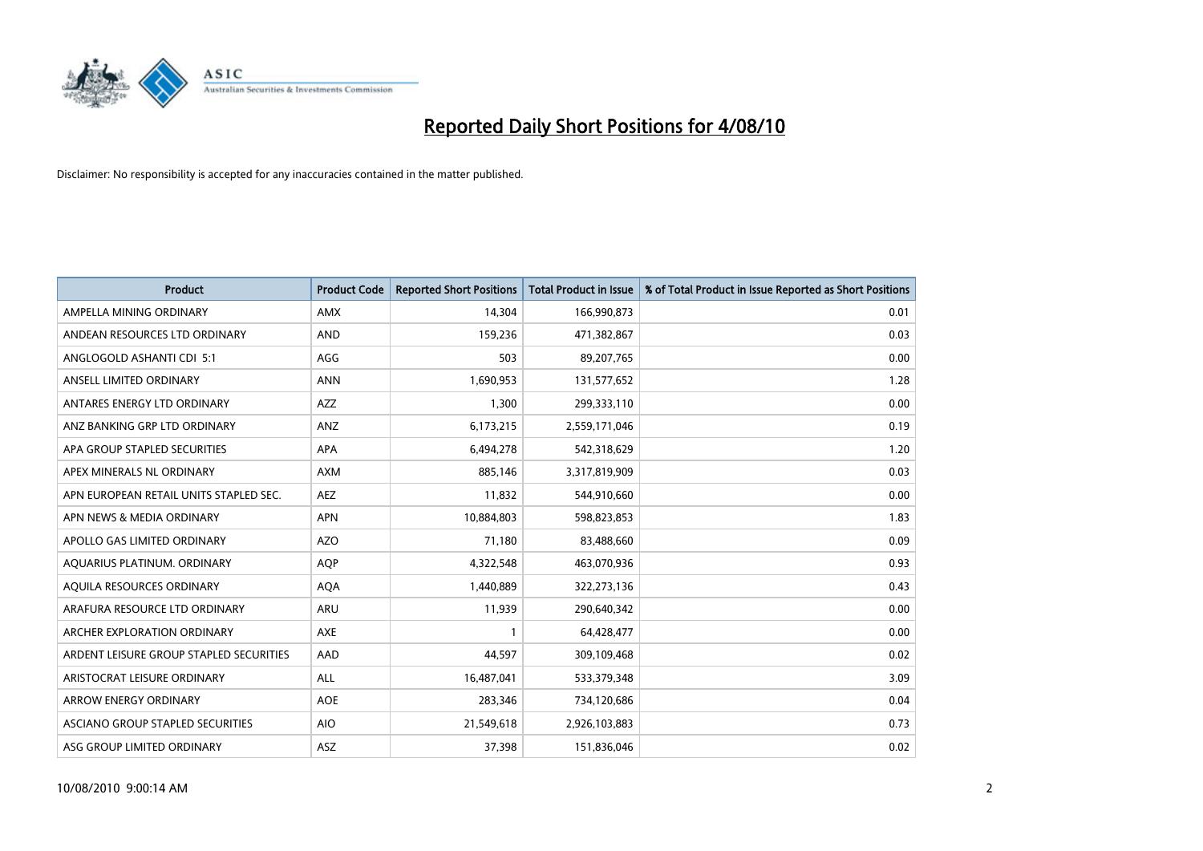

| <b>Product</b>                          | <b>Product Code</b> | <b>Reported Short Positions</b> | Total Product in Issue | % of Total Product in Issue Reported as Short Positions |
|-----------------------------------------|---------------------|---------------------------------|------------------------|---------------------------------------------------------|
| AMPELLA MINING ORDINARY                 | <b>AMX</b>          | 14,304                          | 166,990,873            | 0.01                                                    |
| ANDEAN RESOURCES LTD ORDINARY           | <b>AND</b>          | 159,236                         | 471,382,867            | 0.03                                                    |
| ANGLOGOLD ASHANTI CDI 5:1               | AGG                 | 503                             | 89,207,765             | 0.00                                                    |
| ANSELL LIMITED ORDINARY                 | <b>ANN</b>          | 1,690,953                       | 131,577,652            | 1.28                                                    |
| ANTARES ENERGY LTD ORDINARY             | <b>AZZ</b>          | 1,300                           | 299,333,110            | 0.00                                                    |
| ANZ BANKING GRP LTD ORDINARY            | ANZ                 | 6,173,215                       | 2,559,171,046          | 0.19                                                    |
| APA GROUP STAPLED SECURITIES            | <b>APA</b>          | 6,494,278                       | 542,318,629            | 1.20                                                    |
| APEX MINERALS NL ORDINARY               | <b>AXM</b>          | 885,146                         | 3,317,819,909          | 0.03                                                    |
| APN EUROPEAN RETAIL UNITS STAPLED SEC.  | <b>AEZ</b>          | 11,832                          | 544,910,660            | 0.00                                                    |
| APN NEWS & MEDIA ORDINARY               | <b>APN</b>          | 10,884,803                      | 598,823,853            | 1.83                                                    |
| APOLLO GAS LIMITED ORDINARY             | <b>AZO</b>          | 71,180                          | 83,488,660             | 0.09                                                    |
| AQUARIUS PLATINUM. ORDINARY             | <b>AOP</b>          | 4,322,548                       | 463,070,936            | 0.93                                                    |
| AQUILA RESOURCES ORDINARY               | <b>AQA</b>          | 1,440,889                       | 322,273,136            | 0.43                                                    |
| ARAFURA RESOURCE LTD ORDINARY           | <b>ARU</b>          | 11,939                          | 290,640,342            | 0.00                                                    |
| ARCHER EXPLORATION ORDINARY             | <b>AXE</b>          |                                 | 64,428,477             | 0.00                                                    |
| ARDENT LEISURE GROUP STAPLED SECURITIES | AAD                 | 44,597                          | 309,109,468            | 0.02                                                    |
| ARISTOCRAT LEISURE ORDINARY             | <b>ALL</b>          | 16,487,041                      | 533,379,348            | 3.09                                                    |
| ARROW ENERGY ORDINARY                   | <b>AOE</b>          | 283,346                         | 734,120,686            | 0.04                                                    |
| ASCIANO GROUP STAPLED SECURITIES        | <b>AIO</b>          | 21,549,618                      | 2,926,103,883          | 0.73                                                    |
| ASG GROUP LIMITED ORDINARY              | <b>ASZ</b>          | 37,398                          | 151,836,046            | 0.02                                                    |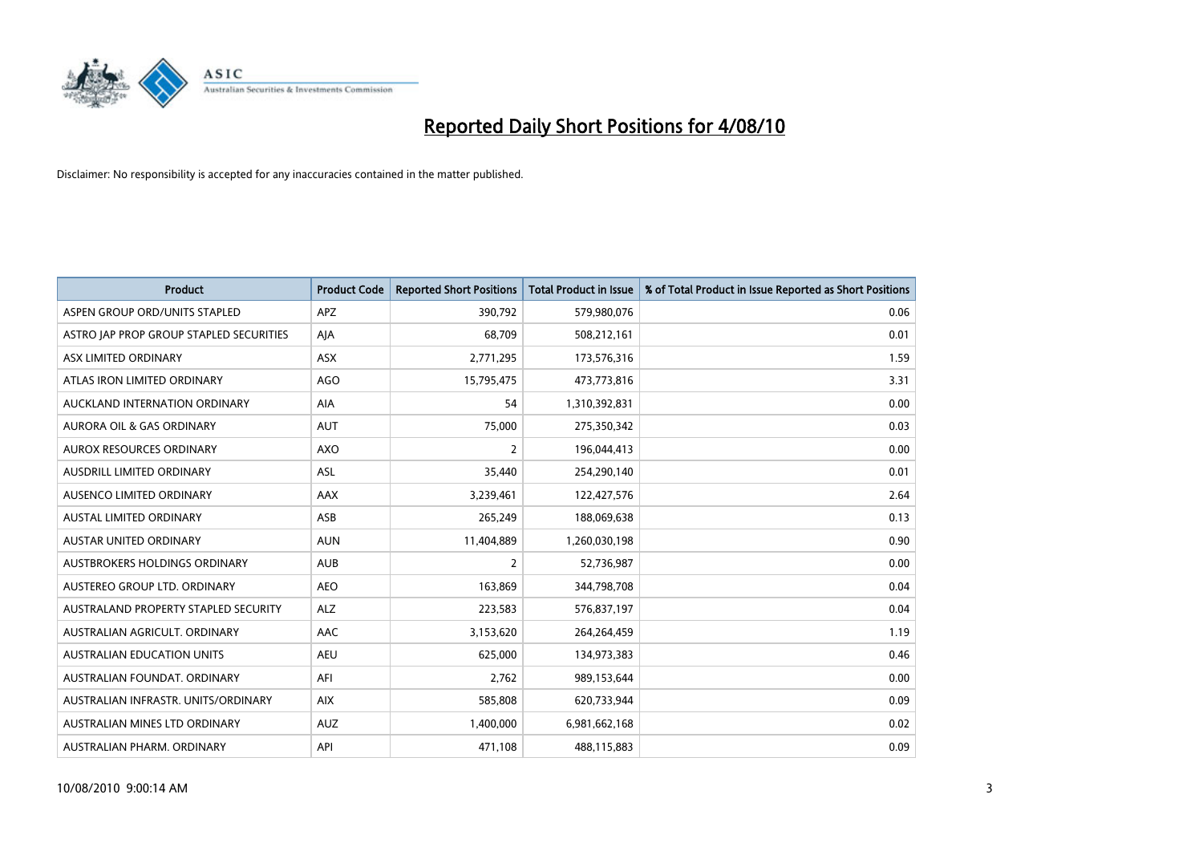

| <b>Product</b>                          | <b>Product Code</b> | <b>Reported Short Positions</b> | Total Product in Issue | % of Total Product in Issue Reported as Short Positions |
|-----------------------------------------|---------------------|---------------------------------|------------------------|---------------------------------------------------------|
| ASPEN GROUP ORD/UNITS STAPLED           | <b>APZ</b>          | 390,792                         | 579,980,076            | 0.06                                                    |
| ASTRO JAP PROP GROUP STAPLED SECURITIES | AJA                 | 68,709                          | 508,212,161            | 0.01                                                    |
| ASX LIMITED ORDINARY                    | <b>ASX</b>          | 2,771,295                       | 173,576,316            | 1.59                                                    |
| ATLAS IRON LIMITED ORDINARY             | <b>AGO</b>          | 15,795,475                      | 473,773,816            | 3.31                                                    |
| AUCKLAND INTERNATION ORDINARY           | AIA                 | 54                              | 1,310,392,831          | 0.00                                                    |
| <b>AURORA OIL &amp; GAS ORDINARY</b>    | <b>AUT</b>          | 75,000                          | 275,350,342            | 0.03                                                    |
| AUROX RESOURCES ORDINARY                | <b>AXO</b>          | 2                               | 196,044,413            | 0.00                                                    |
| AUSDRILL LIMITED ORDINARY               | ASL                 | 35,440                          | 254,290,140            | 0.01                                                    |
| AUSENCO LIMITED ORDINARY                | AAX                 | 3,239,461                       | 122,427,576            | 2.64                                                    |
| <b>AUSTAL LIMITED ORDINARY</b>          | ASB                 | 265,249                         | 188,069,638            | 0.13                                                    |
| AUSTAR UNITED ORDINARY                  | <b>AUN</b>          | 11,404,889                      | 1,260,030,198          | 0.90                                                    |
| <b>AUSTBROKERS HOLDINGS ORDINARY</b>    | <b>AUB</b>          | $\overline{2}$                  | 52,736,987             | 0.00                                                    |
| AUSTEREO GROUP LTD. ORDINARY            | <b>AEO</b>          | 163,869                         | 344,798,708            | 0.04                                                    |
| AUSTRALAND PROPERTY STAPLED SECURITY    | <b>ALZ</b>          | 223,583                         | 576,837,197            | 0.04                                                    |
| AUSTRALIAN AGRICULT, ORDINARY           | AAC                 | 3,153,620                       | 264,264,459            | 1.19                                                    |
| AUSTRALIAN EDUCATION UNITS              | <b>AEU</b>          | 625,000                         | 134,973,383            | 0.46                                                    |
| AUSTRALIAN FOUNDAT. ORDINARY            | AFI                 | 2,762                           | 989,153,644            | 0.00                                                    |
| AUSTRALIAN INFRASTR. UNITS/ORDINARY     | <b>AIX</b>          | 585,808                         | 620,733,944            | 0.09                                                    |
| AUSTRALIAN MINES LTD ORDINARY           | <b>AUZ</b>          | 1,400,000                       | 6,981,662,168          | 0.02                                                    |
| AUSTRALIAN PHARM. ORDINARY              | API                 | 471,108                         | 488,115,883            | 0.09                                                    |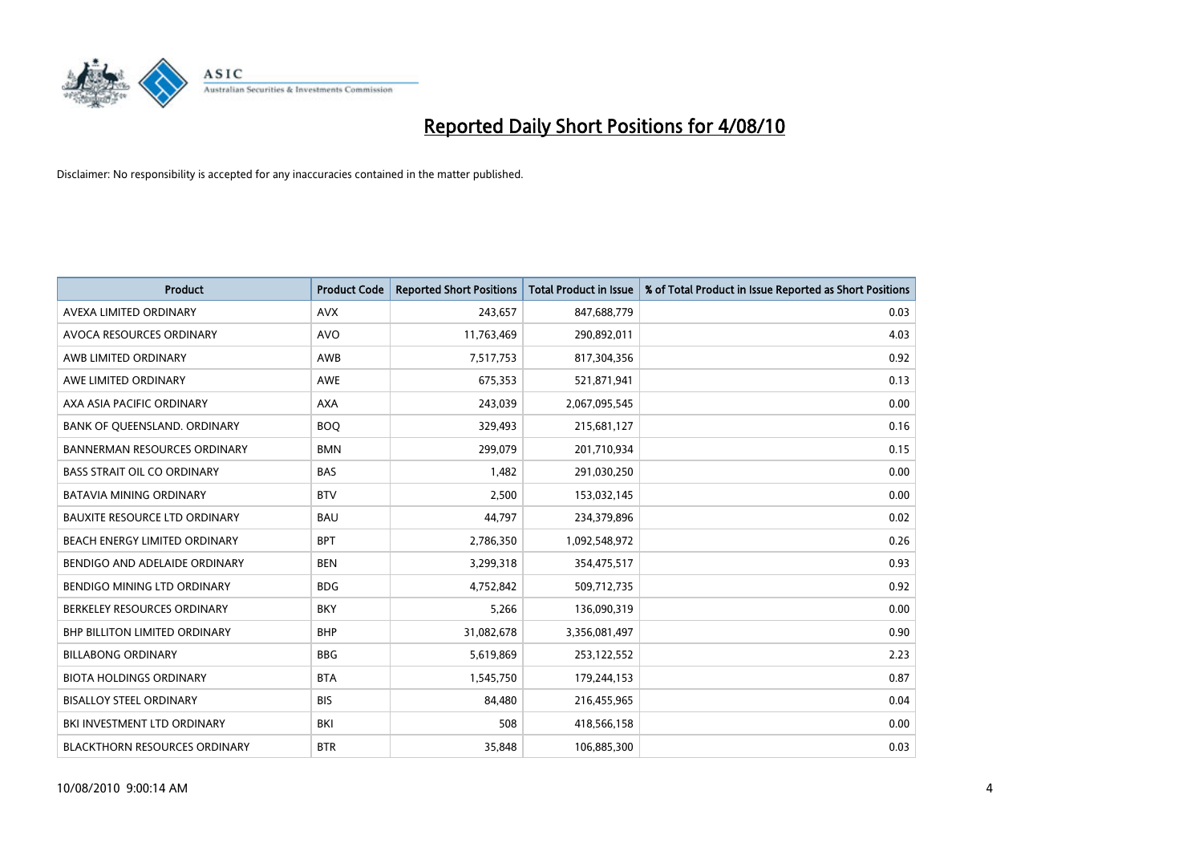

| <b>Product</b>                       | <b>Product Code</b> | <b>Reported Short Positions</b> | <b>Total Product in Issue</b> | % of Total Product in Issue Reported as Short Positions |
|--------------------------------------|---------------------|---------------------------------|-------------------------------|---------------------------------------------------------|
| AVEXA LIMITED ORDINARY               | <b>AVX</b>          | 243,657                         | 847,688,779                   | 0.03                                                    |
| AVOCA RESOURCES ORDINARY             | AVO                 | 11,763,469                      | 290,892,011                   | 4.03                                                    |
| AWB LIMITED ORDINARY                 | AWB                 | 7,517,753                       | 817,304,356                   | 0.92                                                    |
| AWE LIMITED ORDINARY                 | <b>AWE</b>          | 675,353                         | 521,871,941                   | 0.13                                                    |
| AXA ASIA PACIFIC ORDINARY            | <b>AXA</b>          | 243,039                         | 2,067,095,545                 | 0.00                                                    |
| BANK OF QUEENSLAND. ORDINARY         | <b>BOQ</b>          | 329,493                         | 215,681,127                   | 0.16                                                    |
| <b>BANNERMAN RESOURCES ORDINARY</b>  | <b>BMN</b>          | 299.079                         | 201,710,934                   | 0.15                                                    |
| <b>BASS STRAIT OIL CO ORDINARY</b>   | <b>BAS</b>          | 1,482                           | 291,030,250                   | 0.00                                                    |
| <b>BATAVIA MINING ORDINARY</b>       | <b>BTV</b>          | 2,500                           | 153,032,145                   | 0.00                                                    |
| <b>BAUXITE RESOURCE LTD ORDINARY</b> | <b>BAU</b>          | 44,797                          | 234,379,896                   | 0.02                                                    |
| BEACH ENERGY LIMITED ORDINARY        | <b>BPT</b>          | 2,786,350                       | 1,092,548,972                 | 0.26                                                    |
| BENDIGO AND ADELAIDE ORDINARY        | <b>BEN</b>          | 3,299,318                       | 354,475,517                   | 0.93                                                    |
| BENDIGO MINING LTD ORDINARY          | <b>BDG</b>          | 4,752,842                       | 509,712,735                   | 0.92                                                    |
| BERKELEY RESOURCES ORDINARY          | <b>BKY</b>          | 5,266                           | 136,090,319                   | 0.00                                                    |
| <b>BHP BILLITON LIMITED ORDINARY</b> | <b>BHP</b>          | 31,082,678                      | 3,356,081,497                 | 0.90                                                    |
| <b>BILLABONG ORDINARY</b>            | <b>BBG</b>          | 5,619,869                       | 253,122,552                   | 2.23                                                    |
| <b>BIOTA HOLDINGS ORDINARY</b>       | <b>BTA</b>          | 1,545,750                       | 179,244,153                   | 0.87                                                    |
| <b>BISALLOY STEEL ORDINARY</b>       | <b>BIS</b>          | 84,480                          | 216,455,965                   | 0.04                                                    |
| BKI INVESTMENT LTD ORDINARY          | <b>BKI</b>          | 508                             | 418,566,158                   | 0.00                                                    |
| <b>BLACKTHORN RESOURCES ORDINARY</b> | <b>BTR</b>          | 35,848                          | 106,885,300                   | 0.03                                                    |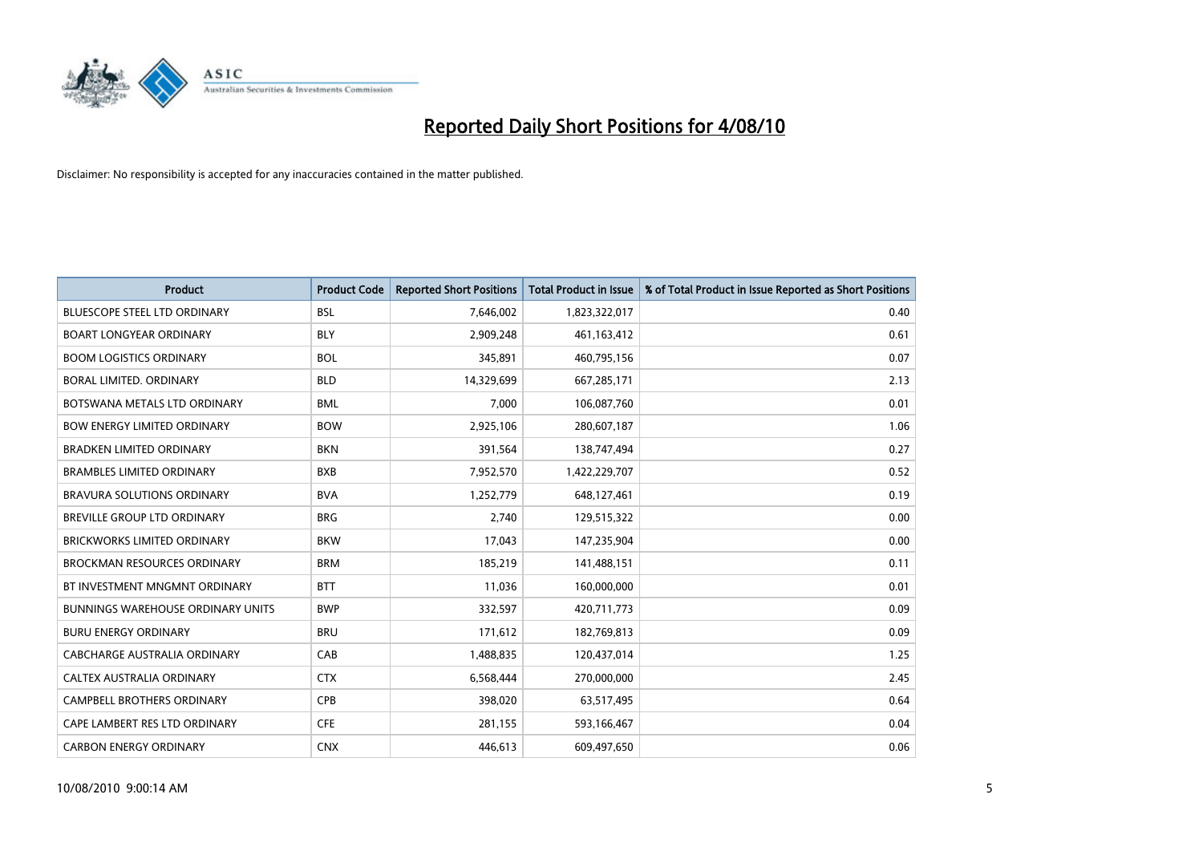

| <b>Product</b>                           | <b>Product Code</b> | <b>Reported Short Positions</b> | <b>Total Product in Issue</b> | % of Total Product in Issue Reported as Short Positions |
|------------------------------------------|---------------------|---------------------------------|-------------------------------|---------------------------------------------------------|
| <b>BLUESCOPE STEEL LTD ORDINARY</b>      | <b>BSL</b>          | 7,646,002                       | 1,823,322,017                 | 0.40                                                    |
| <b>BOART LONGYEAR ORDINARY</b>           | <b>BLY</b>          | 2,909,248                       | 461,163,412                   | 0.61                                                    |
| <b>BOOM LOGISTICS ORDINARY</b>           | <b>BOL</b>          | 345,891                         | 460,795,156                   | 0.07                                                    |
| BORAL LIMITED. ORDINARY                  | <b>BLD</b>          | 14,329,699                      | 667,285,171                   | 2.13                                                    |
| BOTSWANA METALS LTD ORDINARY             | <b>BML</b>          | 7,000                           | 106,087,760                   | 0.01                                                    |
| <b>BOW ENERGY LIMITED ORDINARY</b>       | <b>BOW</b>          | 2,925,106                       | 280,607,187                   | 1.06                                                    |
| <b>BRADKEN LIMITED ORDINARY</b>          | <b>BKN</b>          | 391,564                         | 138,747,494                   | 0.27                                                    |
| <b>BRAMBLES LIMITED ORDINARY</b>         | <b>BXB</b>          | 7,952,570                       | 1,422,229,707                 | 0.52                                                    |
| BRAVURA SOLUTIONS ORDINARY               | <b>BVA</b>          | 1,252,779                       | 648,127,461                   | 0.19                                                    |
| <b>BREVILLE GROUP LTD ORDINARY</b>       | <b>BRG</b>          | 2,740                           | 129,515,322                   | 0.00                                                    |
| <b>BRICKWORKS LIMITED ORDINARY</b>       | <b>BKW</b>          | 17,043                          | 147,235,904                   | 0.00                                                    |
| <b>BROCKMAN RESOURCES ORDINARY</b>       | <b>BRM</b>          | 185,219                         | 141,488,151                   | 0.11                                                    |
| BT INVESTMENT MNGMNT ORDINARY            | <b>BTT</b>          | 11,036                          | 160,000,000                   | 0.01                                                    |
| <b>BUNNINGS WAREHOUSE ORDINARY UNITS</b> | <b>BWP</b>          | 332,597                         | 420,711,773                   | 0.09                                                    |
| <b>BURU ENERGY ORDINARY</b>              | <b>BRU</b>          | 171,612                         | 182,769,813                   | 0.09                                                    |
| CABCHARGE AUSTRALIA ORDINARY             | CAB                 | 1,488,835                       | 120,437,014                   | 1.25                                                    |
| <b>CALTEX AUSTRALIA ORDINARY</b>         | <b>CTX</b>          | 6,568,444                       | 270,000,000                   | 2.45                                                    |
| CAMPBELL BROTHERS ORDINARY               | <b>CPB</b>          | 398,020                         | 63,517,495                    | 0.64                                                    |
| CAPE LAMBERT RES LTD ORDINARY            | <b>CFE</b>          | 281,155                         | 593,166,467                   | 0.04                                                    |
| <b>CARBON ENERGY ORDINARY</b>            | <b>CNX</b>          | 446.613                         | 609.497.650                   | 0.06                                                    |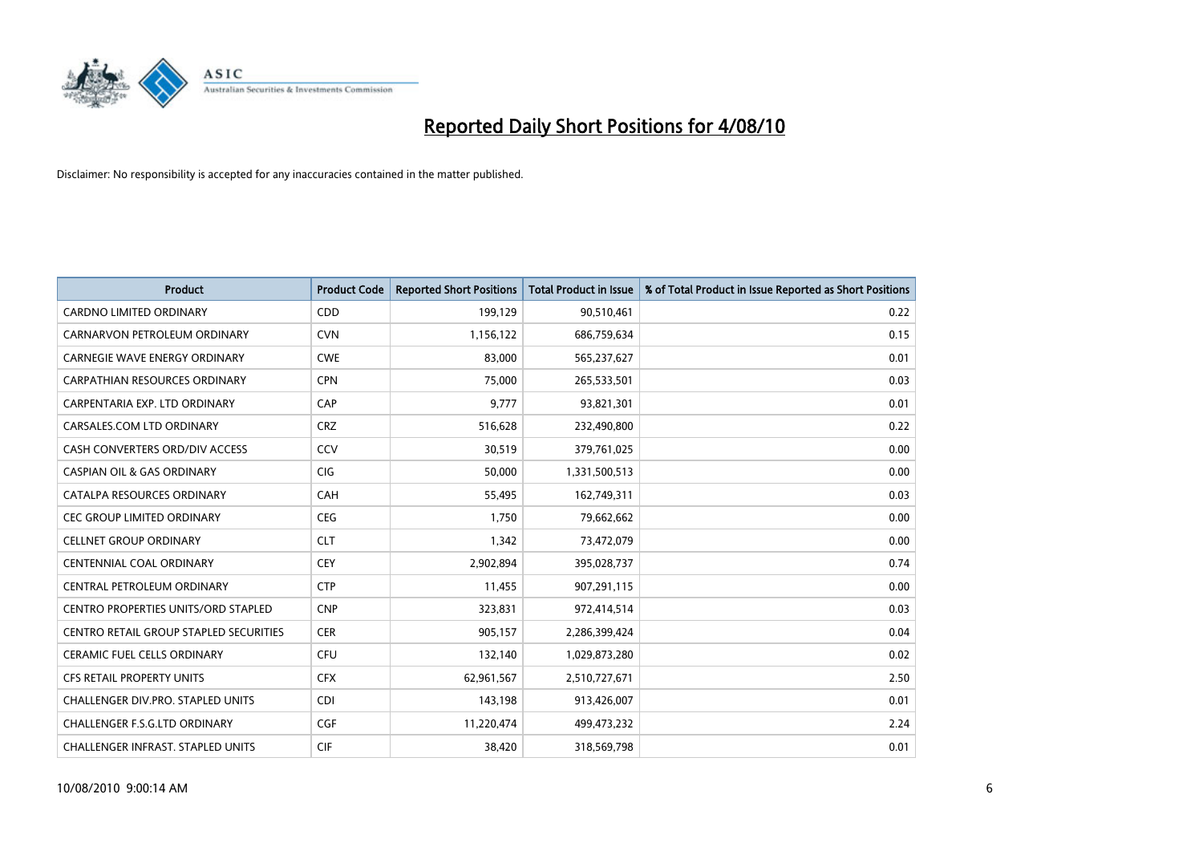

| <b>Product</b>                                | <b>Product Code</b> | <b>Reported Short Positions</b> | Total Product in Issue | % of Total Product in Issue Reported as Short Positions |
|-----------------------------------------------|---------------------|---------------------------------|------------------------|---------------------------------------------------------|
| <b>CARDNO LIMITED ORDINARY</b>                | CDD                 | 199,129                         | 90,510,461             | 0.22                                                    |
| CARNARVON PETROLEUM ORDINARY                  | <b>CVN</b>          | 1,156,122                       | 686,759,634            | 0.15                                                    |
| <b>CARNEGIE WAVE ENERGY ORDINARY</b>          | <b>CWE</b>          | 83,000                          | 565,237,627            | 0.01                                                    |
| CARPATHIAN RESOURCES ORDINARY                 | <b>CPN</b>          | 75,000                          | 265,533,501            | 0.03                                                    |
| CARPENTARIA EXP. LTD ORDINARY                 | CAP                 | 9,777                           | 93,821,301             | 0.01                                                    |
| CARSALES.COM LTD ORDINARY                     | <b>CRZ</b>          | 516,628                         | 232,490,800            | 0.22                                                    |
| CASH CONVERTERS ORD/DIV ACCESS                | CCV                 | 30,519                          | 379,761,025            | 0.00                                                    |
| <b>CASPIAN OIL &amp; GAS ORDINARY</b>         | <b>CIG</b>          | 50,000                          | 1,331,500,513          | 0.00                                                    |
| CATALPA RESOURCES ORDINARY                    | CAH                 | 55,495                          | 162,749,311            | 0.03                                                    |
| <b>CEC GROUP LIMITED ORDINARY</b>             | <b>CEG</b>          | 1,750                           | 79,662,662             | 0.00                                                    |
| CELLNET GROUP ORDINARY                        | <b>CLT</b>          | 1,342                           | 73,472,079             | 0.00                                                    |
| <b>CENTENNIAL COAL ORDINARY</b>               | <b>CEY</b>          | 2,902,894                       | 395,028,737            | 0.74                                                    |
| CENTRAL PETROLEUM ORDINARY                    | <b>CTP</b>          | 11,455                          | 907,291,115            | 0.00                                                    |
| <b>CENTRO PROPERTIES UNITS/ORD STAPLED</b>    | <b>CNP</b>          | 323,831                         | 972,414,514            | 0.03                                                    |
| <b>CENTRO RETAIL GROUP STAPLED SECURITIES</b> | <b>CER</b>          | 905,157                         | 2,286,399,424          | 0.04                                                    |
| CERAMIC FUEL CELLS ORDINARY                   | <b>CFU</b>          | 132,140                         | 1,029,873,280          | 0.02                                                    |
| <b>CFS RETAIL PROPERTY UNITS</b>              | <b>CFX</b>          | 62,961,567                      | 2,510,727,671          | 2.50                                                    |
| CHALLENGER DIV.PRO. STAPLED UNITS             | <b>CDI</b>          | 143,198                         | 913,426,007            | 0.01                                                    |
| <b>CHALLENGER F.S.G.LTD ORDINARY</b>          | <b>CGF</b>          | 11,220,474                      | 499,473,232            | 2.24                                                    |
| CHALLENGER INFRAST. STAPLED UNITS             | <b>CIF</b>          | 38,420                          | 318,569,798            | 0.01                                                    |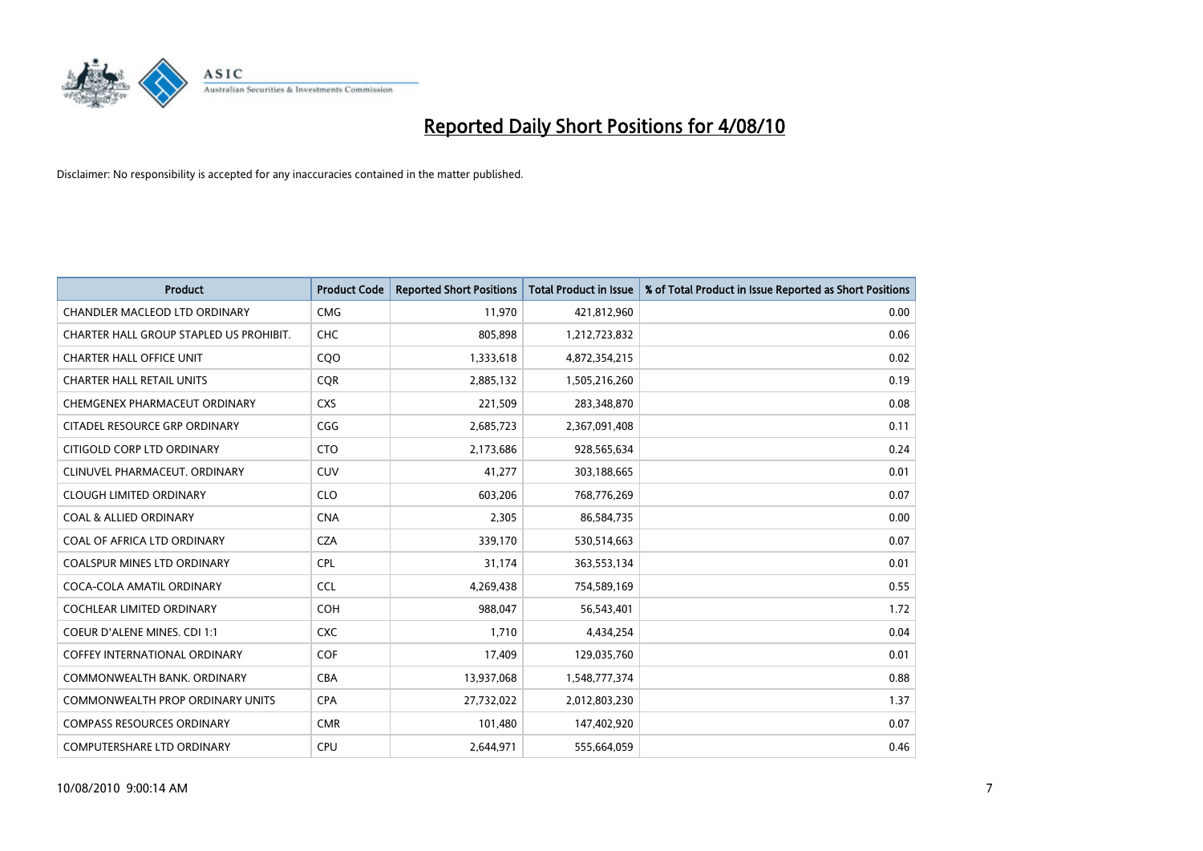

| <b>Product</b>                          | <b>Product Code</b> | <b>Reported Short Positions</b> | Total Product in Issue | % of Total Product in Issue Reported as Short Positions |
|-----------------------------------------|---------------------|---------------------------------|------------------------|---------------------------------------------------------|
| <b>CHANDLER MACLEOD LTD ORDINARY</b>    | <b>CMG</b>          | 11,970                          | 421,812,960            | 0.00                                                    |
| CHARTER HALL GROUP STAPLED US PROHIBIT. | CHC                 | 805,898                         | 1,212,723,832          | 0.06                                                    |
| <b>CHARTER HALL OFFICE UNIT</b>         | CQO                 | 1,333,618                       | 4,872,354,215          | 0.02                                                    |
| <b>CHARTER HALL RETAIL UNITS</b>        | <b>COR</b>          | 2,885,132                       | 1,505,216,260          | 0.19                                                    |
| CHEMGENEX PHARMACEUT ORDINARY           | <b>CXS</b>          | 221,509                         | 283,348,870            | 0.08                                                    |
| CITADEL RESOURCE GRP ORDINARY           | CGG                 | 2,685,723                       | 2,367,091,408          | 0.11                                                    |
| CITIGOLD CORP LTD ORDINARY              | <b>CTO</b>          | 2,173,686                       | 928,565,634            | 0.24                                                    |
| CLINUVEL PHARMACEUT, ORDINARY           | <b>CUV</b>          | 41,277                          | 303,188,665            | 0.01                                                    |
| <b>CLOUGH LIMITED ORDINARY</b>          | <b>CLO</b>          | 603,206                         | 768,776,269            | 0.07                                                    |
| <b>COAL &amp; ALLIED ORDINARY</b>       | <b>CNA</b>          | 2,305                           | 86,584,735             | 0.00                                                    |
| COAL OF AFRICA LTD ORDINARY             | <b>CZA</b>          | 339,170                         | 530,514,663            | 0.07                                                    |
| <b>COALSPUR MINES LTD ORDINARY</b>      | <b>CPL</b>          | 31,174                          | 363,553,134            | 0.01                                                    |
| COCA-COLA AMATIL ORDINARY               | <b>CCL</b>          | 4,269,438                       | 754,589,169            | 0.55                                                    |
| <b>COCHLEAR LIMITED ORDINARY</b>        | <b>COH</b>          | 988.047                         | 56,543,401             | 1.72                                                    |
| COEUR D'ALENE MINES. CDI 1:1            | <b>CXC</b>          | 1,710                           | 4,434,254              | 0.04                                                    |
| <b>COFFEY INTERNATIONAL ORDINARY</b>    | <b>COF</b>          | 17,409                          | 129,035,760            | 0.01                                                    |
| COMMONWEALTH BANK, ORDINARY             | <b>CBA</b>          | 13,937,068                      | 1,548,777,374          | 0.88                                                    |
| <b>COMMONWEALTH PROP ORDINARY UNITS</b> | <b>CPA</b>          | 27,732,022                      | 2,012,803,230          | 1.37                                                    |
| <b>COMPASS RESOURCES ORDINARY</b>       | <b>CMR</b>          | 101,480                         | 147,402,920            | 0.07                                                    |
| <b>COMPUTERSHARE LTD ORDINARY</b>       | <b>CPU</b>          | 2,644,971                       | 555,664,059            | 0.46                                                    |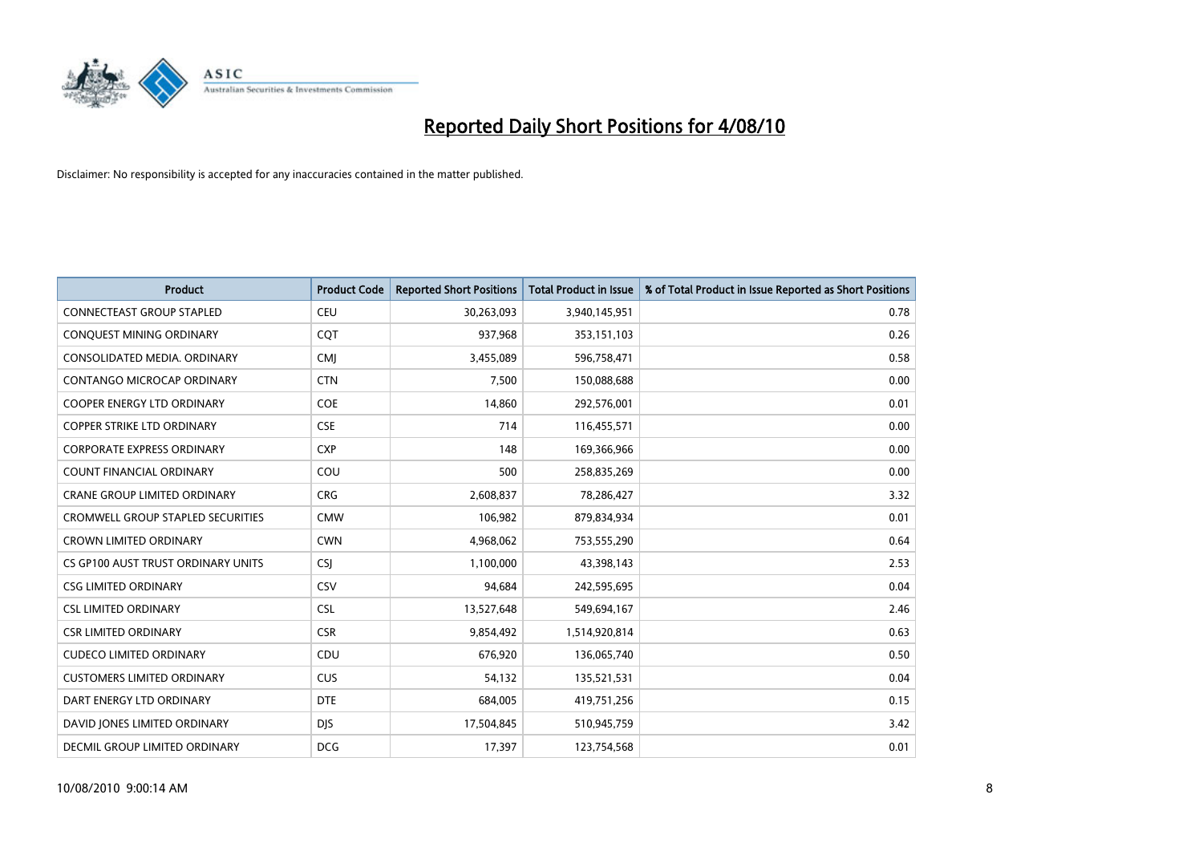

| <b>Product</b>                           | <b>Product Code</b> | <b>Reported Short Positions</b> | <b>Total Product in Issue</b> | % of Total Product in Issue Reported as Short Positions |
|------------------------------------------|---------------------|---------------------------------|-------------------------------|---------------------------------------------------------|
| <b>CONNECTEAST GROUP STAPLED</b>         | CEU                 | 30,263,093                      | 3,940,145,951                 | 0.78                                                    |
| CONQUEST MINING ORDINARY                 | COT                 | 937,968                         | 353,151,103                   | 0.26                                                    |
| CONSOLIDATED MEDIA, ORDINARY             | <b>CMJ</b>          | 3,455,089                       | 596,758,471                   | 0.58                                                    |
| CONTANGO MICROCAP ORDINARY               | <b>CTN</b>          | 7,500                           | 150,088,688                   | 0.00                                                    |
| <b>COOPER ENERGY LTD ORDINARY</b>        | <b>COE</b>          | 14,860                          | 292,576,001                   | 0.01                                                    |
| <b>COPPER STRIKE LTD ORDINARY</b>        | <b>CSE</b>          | 714                             | 116,455,571                   | 0.00                                                    |
| <b>CORPORATE EXPRESS ORDINARY</b>        | <b>CXP</b>          | 148                             | 169,366,966                   | 0.00                                                    |
| <b>COUNT FINANCIAL ORDINARY</b>          | COU                 | 500                             | 258,835,269                   | 0.00                                                    |
| CRANE GROUP LIMITED ORDINARY             | <b>CRG</b>          | 2,608,837                       | 78,286,427                    | 3.32                                                    |
| <b>CROMWELL GROUP STAPLED SECURITIES</b> | <b>CMW</b>          | 106,982                         | 879,834,934                   | 0.01                                                    |
| <b>CROWN LIMITED ORDINARY</b>            | <b>CWN</b>          | 4,968,062                       | 753,555,290                   | 0.64                                                    |
| CS GP100 AUST TRUST ORDINARY UNITS       | <b>CSJ</b>          | 1,100,000                       | 43,398,143                    | 2.53                                                    |
| <b>CSG LIMITED ORDINARY</b>              | CSV                 | 94.684                          | 242,595,695                   | 0.04                                                    |
| <b>CSL LIMITED ORDINARY</b>              | CSL                 | 13,527,648                      | 549,694,167                   | 2.46                                                    |
| <b>CSR LIMITED ORDINARY</b>              | <b>CSR</b>          | 9,854,492                       | 1,514,920,814                 | 0.63                                                    |
| <b>CUDECO LIMITED ORDINARY</b>           | CDU                 | 676,920                         | 136,065,740                   | 0.50                                                    |
| <b>CUSTOMERS LIMITED ORDINARY</b>        | <b>CUS</b>          | 54,132                          | 135,521,531                   | 0.04                                                    |
| DART ENERGY LTD ORDINARY                 | <b>DTE</b>          | 684,005                         | 419,751,256                   | 0.15                                                    |
| DAVID JONES LIMITED ORDINARY             | <b>DIS</b>          | 17,504,845                      | 510,945,759                   | 3.42                                                    |
| DECMIL GROUP LIMITED ORDINARY            | <b>DCG</b>          | 17,397                          | 123,754,568                   | 0.01                                                    |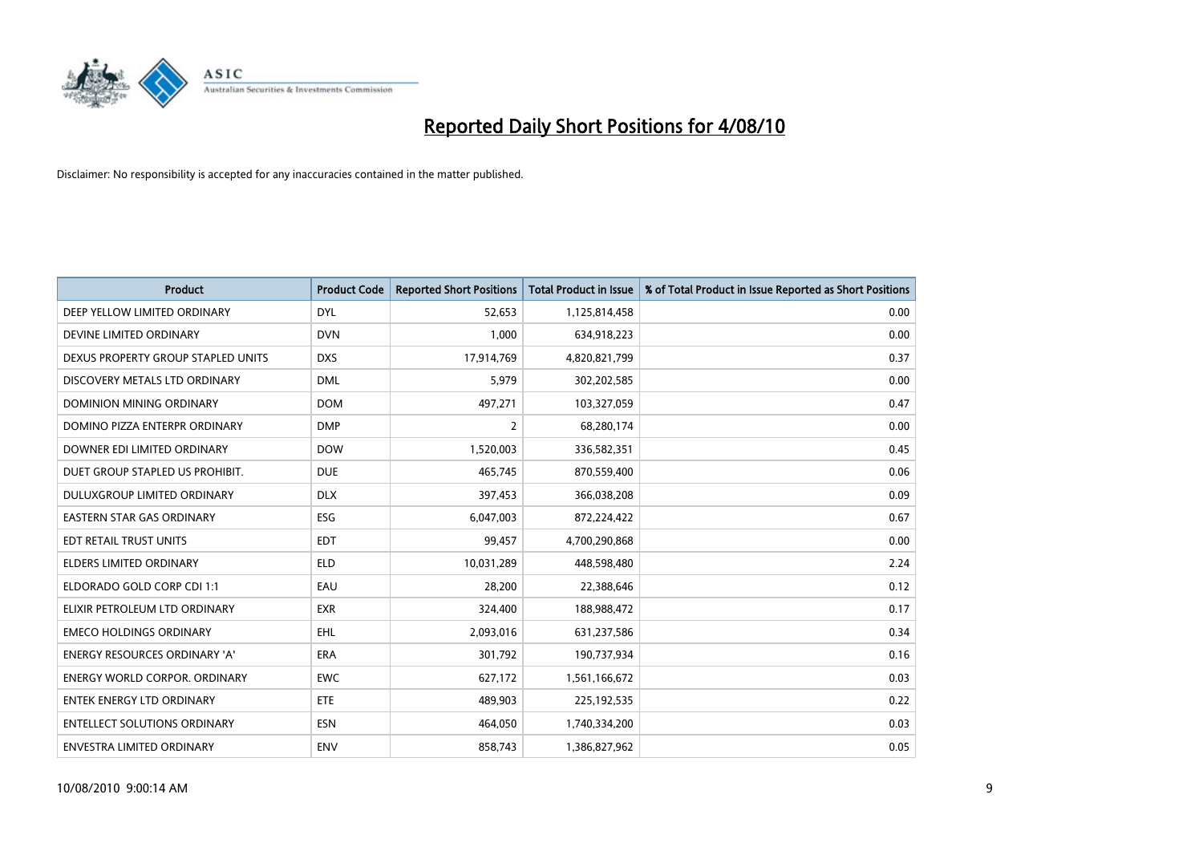

| <b>Product</b>                       | <b>Product Code</b> | <b>Reported Short Positions</b> | Total Product in Issue | % of Total Product in Issue Reported as Short Positions |
|--------------------------------------|---------------------|---------------------------------|------------------------|---------------------------------------------------------|
| DEEP YELLOW LIMITED ORDINARY         | <b>DYL</b>          | 52,653                          | 1,125,814,458          | 0.00                                                    |
| DEVINE LIMITED ORDINARY              | <b>DVN</b>          | 1,000                           | 634,918,223            | 0.00                                                    |
| DEXUS PROPERTY GROUP STAPLED UNITS   | <b>DXS</b>          | 17,914,769                      | 4,820,821,799          | 0.37                                                    |
| DISCOVERY METALS LTD ORDINARY        | <b>DML</b>          | 5,979                           | 302,202,585            | 0.00                                                    |
| DOMINION MINING ORDINARY             | <b>DOM</b>          | 497,271                         | 103,327,059            | 0.47                                                    |
| DOMINO PIZZA ENTERPR ORDINARY        | <b>DMP</b>          | $\overline{2}$                  | 68,280,174             | 0.00                                                    |
| DOWNER EDI LIMITED ORDINARY          | <b>DOW</b>          | 1,520,003                       | 336,582,351            | 0.45                                                    |
| DUET GROUP STAPLED US PROHIBIT.      | <b>DUE</b>          | 465,745                         | 870,559,400            | 0.06                                                    |
| DULUXGROUP LIMITED ORDINARY          | <b>DLX</b>          | 397,453                         | 366,038,208            | 0.09                                                    |
| <b>EASTERN STAR GAS ORDINARY</b>     | <b>ESG</b>          | 6,047,003                       | 872,224,422            | 0.67                                                    |
| EDT RETAIL TRUST UNITS               | <b>EDT</b>          | 99,457                          | 4,700,290,868          | 0.00                                                    |
| <b>ELDERS LIMITED ORDINARY</b>       | <b>ELD</b>          | 10,031,289                      | 448,598,480            | 2.24                                                    |
| ELDORADO GOLD CORP CDI 1:1           | EAU                 | 28,200                          | 22,388,646             | 0.12                                                    |
| ELIXIR PETROLEUM LTD ORDINARY        | <b>EXR</b>          | 324,400                         | 188,988,472            | 0.17                                                    |
| <b>EMECO HOLDINGS ORDINARY</b>       | <b>EHL</b>          | 2,093,016                       | 631,237,586            | 0.34                                                    |
| ENERGY RESOURCES ORDINARY 'A'        | ERA                 | 301,792                         | 190,737,934            | 0.16                                                    |
| <b>ENERGY WORLD CORPOR, ORDINARY</b> | <b>EWC</b>          | 627,172                         | 1,561,166,672          | 0.03                                                    |
| <b>ENTEK ENERGY LTD ORDINARY</b>     | <b>ETE</b>          | 489,903                         | 225,192,535            | 0.22                                                    |
| <b>ENTELLECT SOLUTIONS ORDINARY</b>  | <b>ESN</b>          | 464,050                         | 1,740,334,200          | 0.03                                                    |
| <b>ENVESTRA LIMITED ORDINARY</b>     | <b>ENV</b>          | 858.743                         | 1,386,827,962          | 0.05                                                    |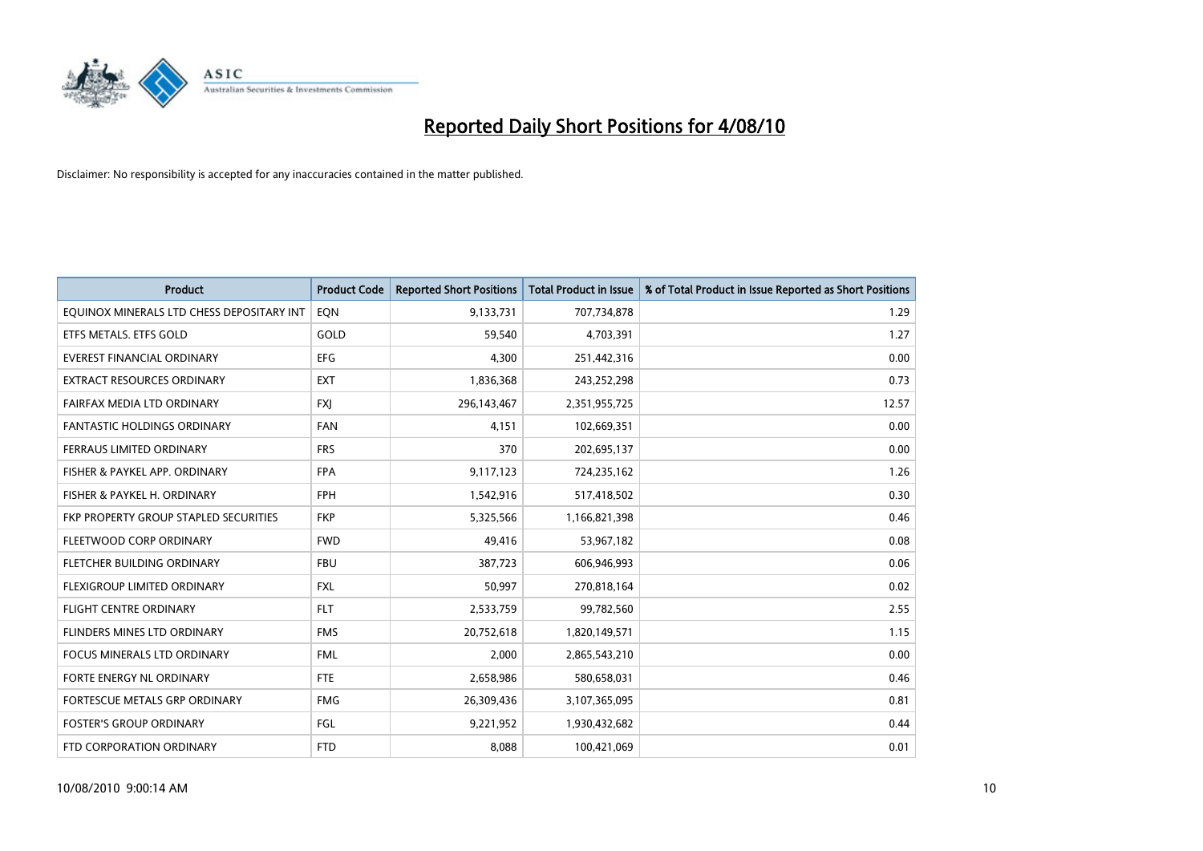

| <b>Product</b>                            | <b>Product Code</b> | <b>Reported Short Positions</b> | <b>Total Product in Issue</b> | % of Total Product in Issue Reported as Short Positions |
|-------------------------------------------|---------------------|---------------------------------|-------------------------------|---------------------------------------------------------|
| EQUINOX MINERALS LTD CHESS DEPOSITARY INT | EQN                 | 9,133,731                       | 707,734,878                   | 1.29                                                    |
| ETFS METALS. ETFS GOLD                    | GOLD                | 59,540                          | 4,703,391                     | 1.27                                                    |
| EVEREST FINANCIAL ORDINARY                | <b>EFG</b>          | 4.300                           | 251,442,316                   | 0.00                                                    |
| EXTRACT RESOURCES ORDINARY                | <b>EXT</b>          | 1,836,368                       | 243,252,298                   | 0.73                                                    |
| FAIRFAX MEDIA LTD ORDINARY                | <b>FXI</b>          | 296,143,467                     | 2,351,955,725                 | 12.57                                                   |
| <b>FANTASTIC HOLDINGS ORDINARY</b>        | <b>FAN</b>          | 4,151                           | 102,669,351                   | 0.00                                                    |
| <b>FERRAUS LIMITED ORDINARY</b>           | <b>FRS</b>          | 370                             | 202,695,137                   | 0.00                                                    |
| FISHER & PAYKEL APP. ORDINARY             | <b>FPA</b>          | 9,117,123                       | 724,235,162                   | 1.26                                                    |
| FISHER & PAYKEL H. ORDINARY               | <b>FPH</b>          | 1,542,916                       | 517,418,502                   | 0.30                                                    |
| FKP PROPERTY GROUP STAPLED SECURITIES     | <b>FKP</b>          | 5,325,566                       | 1,166,821,398                 | 0.46                                                    |
| FLEETWOOD CORP ORDINARY                   | <b>FWD</b>          | 49,416                          | 53,967,182                    | 0.08                                                    |
| FLETCHER BUILDING ORDINARY                | <b>FBU</b>          | 387,723                         | 606,946,993                   | 0.06                                                    |
| FLEXIGROUP LIMITED ORDINARY               | <b>FXL</b>          | 50,997                          | 270,818,164                   | 0.02                                                    |
| <b>FLIGHT CENTRE ORDINARY</b>             | <b>FLT</b>          | 2,533,759                       | 99,782,560                    | 2.55                                                    |
| FLINDERS MINES LTD ORDINARY               | <b>FMS</b>          | 20,752,618                      | 1,820,149,571                 | 1.15                                                    |
| <b>FOCUS MINERALS LTD ORDINARY</b>        | <b>FML</b>          | 2,000                           | 2,865,543,210                 | 0.00                                                    |
| FORTE ENERGY NL ORDINARY                  | <b>FTE</b>          | 2,658,986                       | 580,658,031                   | 0.46                                                    |
| FORTESCUE METALS GRP ORDINARY             | <b>FMG</b>          | 26,309,436                      | 3,107,365,095                 | 0.81                                                    |
| <b>FOSTER'S GROUP ORDINARY</b>            | FGL                 | 9,221,952                       | 1,930,432,682                 | 0.44                                                    |
| FTD CORPORATION ORDINARY                  | <b>FTD</b>          | 8,088                           | 100,421,069                   | 0.01                                                    |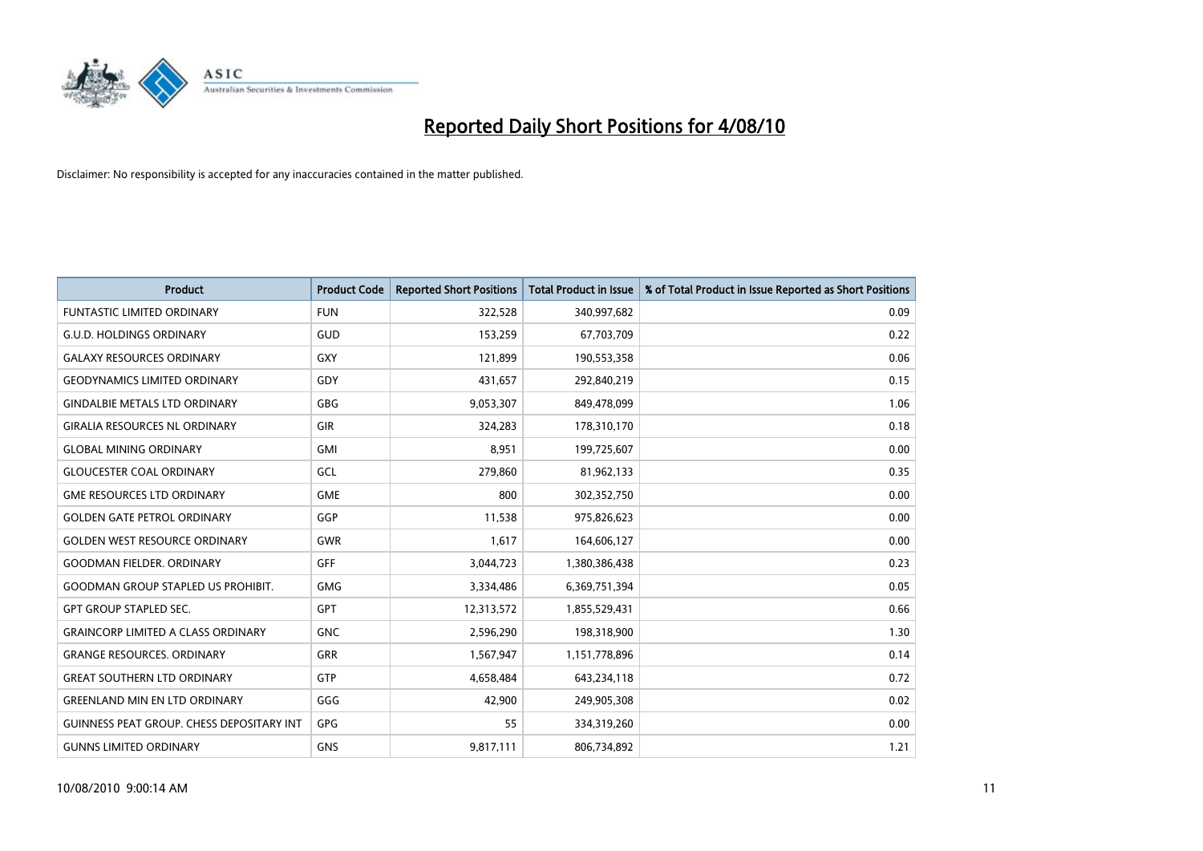

| <b>Product</b>                                   | <b>Product Code</b> | <b>Reported Short Positions</b> | Total Product in Issue | % of Total Product in Issue Reported as Short Positions |
|--------------------------------------------------|---------------------|---------------------------------|------------------------|---------------------------------------------------------|
| <b>FUNTASTIC LIMITED ORDINARY</b>                | <b>FUN</b>          | 322,528                         | 340,997,682            | 0.09                                                    |
| <b>G.U.D. HOLDINGS ORDINARY</b>                  | <b>GUD</b>          | 153,259                         | 67,703,709             | 0.22                                                    |
| <b>GALAXY RESOURCES ORDINARY</b>                 | <b>GXY</b>          | 121,899                         | 190,553,358            | 0.06                                                    |
| <b>GEODYNAMICS LIMITED ORDINARY</b>              | GDY                 | 431,657                         | 292,840,219            | 0.15                                                    |
| <b>GINDALBIE METALS LTD ORDINARY</b>             | <b>GBG</b>          | 9,053,307                       | 849,478,099            | 1.06                                                    |
| <b>GIRALIA RESOURCES NL ORDINARY</b>             | GIR                 | 324,283                         | 178,310,170            | 0.18                                                    |
| <b>GLOBAL MINING ORDINARY</b>                    | <b>GMI</b>          | 8.951                           | 199,725,607            | 0.00                                                    |
| <b>GLOUCESTER COAL ORDINARY</b>                  | GCL                 | 279,860                         | 81,962,133             | 0.35                                                    |
| <b>GME RESOURCES LTD ORDINARY</b>                | <b>GME</b>          | 800                             | 302,352,750            | 0.00                                                    |
| <b>GOLDEN GATE PETROL ORDINARY</b>               | GGP                 | 11,538                          | 975,826,623            | 0.00                                                    |
| <b>GOLDEN WEST RESOURCE ORDINARY</b>             | <b>GWR</b>          | 1,617                           | 164,606,127            | 0.00                                                    |
| <b>GOODMAN FIELDER, ORDINARY</b>                 | <b>GFF</b>          | 3,044,723                       | 1,380,386,438          | 0.23                                                    |
| <b>GOODMAN GROUP STAPLED US PROHIBIT.</b>        | <b>GMG</b>          | 3,334,486                       | 6,369,751,394          | 0.05                                                    |
| <b>GPT GROUP STAPLED SEC.</b>                    | <b>GPT</b>          | 12,313,572                      | 1,855,529,431          | 0.66                                                    |
| <b>GRAINCORP LIMITED A CLASS ORDINARY</b>        | <b>GNC</b>          | 2,596,290                       | 198,318,900            | 1.30                                                    |
| <b>GRANGE RESOURCES. ORDINARY</b>                | GRR                 | 1,567,947                       | 1,151,778,896          | 0.14                                                    |
| <b>GREAT SOUTHERN LTD ORDINARY</b>               | <b>GTP</b>          | 4,658,484                       | 643,234,118            | 0.72                                                    |
| <b>GREENLAND MIN EN LTD ORDINARY</b>             | GGG                 | 42,900                          | 249,905,308            | 0.02                                                    |
| <b>GUINNESS PEAT GROUP. CHESS DEPOSITARY INT</b> | GPG                 | 55                              | 334,319,260            | 0.00                                                    |
| <b>GUNNS LIMITED ORDINARY</b>                    | <b>GNS</b>          | 9,817,111                       | 806,734,892            | 1.21                                                    |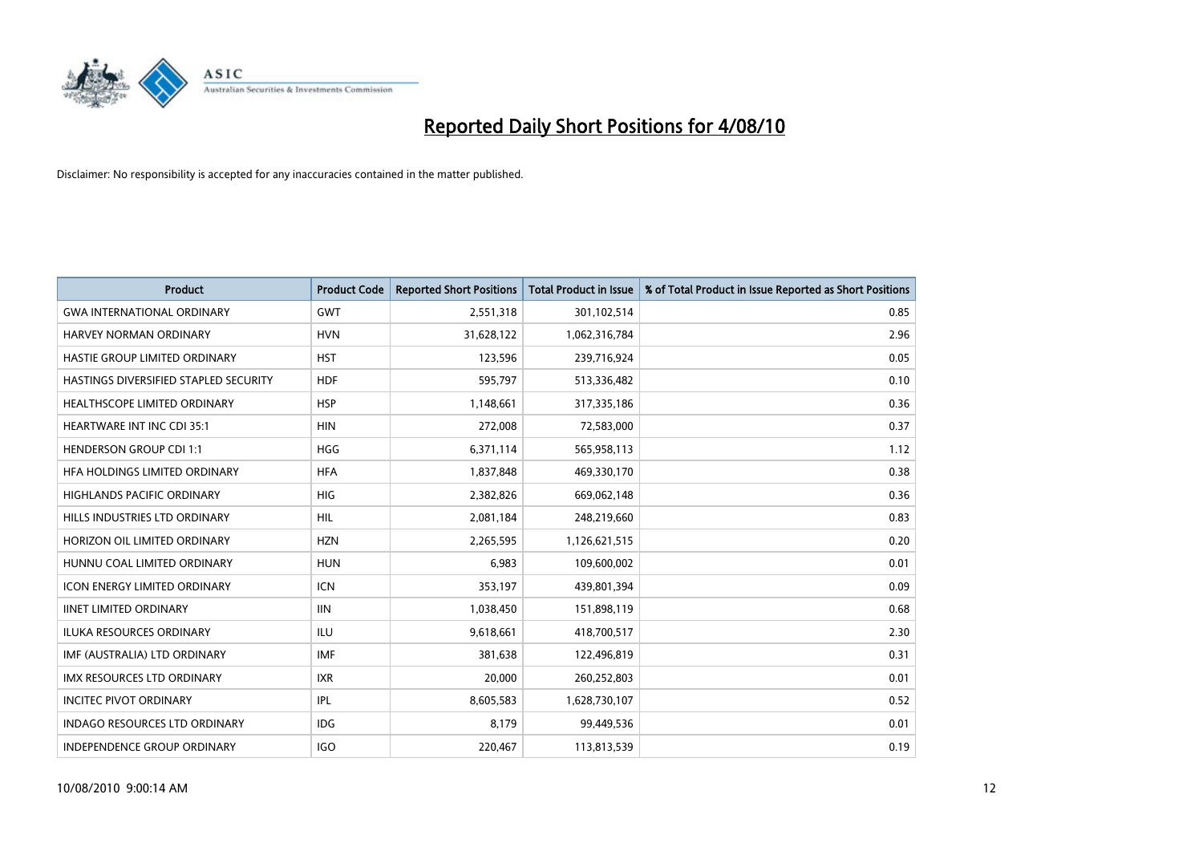

| <b>Product</b>                        | <b>Product Code</b> | <b>Reported Short Positions</b> | <b>Total Product in Issue</b> | % of Total Product in Issue Reported as Short Positions |
|---------------------------------------|---------------------|---------------------------------|-------------------------------|---------------------------------------------------------|
| <b>GWA INTERNATIONAL ORDINARY</b>     | <b>GWT</b>          | 2,551,318                       | 301,102,514                   | 0.85                                                    |
| HARVEY NORMAN ORDINARY                | <b>HVN</b>          | 31,628,122                      | 1,062,316,784                 | 2.96                                                    |
| HASTIE GROUP LIMITED ORDINARY         | <b>HST</b>          | 123,596                         | 239,716,924                   | 0.05                                                    |
| HASTINGS DIVERSIFIED STAPLED SECURITY | <b>HDF</b>          | 595,797                         | 513,336,482                   | 0.10                                                    |
| HEALTHSCOPE LIMITED ORDINARY          | <b>HSP</b>          | 1,148,661                       | 317,335,186                   | 0.36                                                    |
| <b>HEARTWARE INT INC CDI 35:1</b>     | <b>HIN</b>          | 272,008                         | 72,583,000                    | 0.37                                                    |
| <b>HENDERSON GROUP CDI 1:1</b>        | <b>HGG</b>          | 6,371,114                       | 565,958,113                   | 1.12                                                    |
| HFA HOLDINGS LIMITED ORDINARY         | <b>HFA</b>          | 1,837,848                       | 469,330,170                   | 0.38                                                    |
| HIGHLANDS PACIFIC ORDINARY            | <b>HIG</b>          | 2,382,826                       | 669,062,148                   | 0.36                                                    |
| HILLS INDUSTRIES LTD ORDINARY         | <b>HIL</b>          | 2,081,184                       | 248,219,660                   | 0.83                                                    |
| HORIZON OIL LIMITED ORDINARY          | <b>HZN</b>          | 2,265,595                       | 1,126,621,515                 | 0.20                                                    |
| HUNNU COAL LIMITED ORDINARY           | <b>HUN</b>          | 6,983                           | 109,600,002                   | 0.01                                                    |
| <b>ICON ENERGY LIMITED ORDINARY</b>   | <b>ICN</b>          | 353,197                         | 439,801,394                   | 0.09                                                    |
| <b>IINET LIMITED ORDINARY</b>         | <b>IIN</b>          | 1,038,450                       | 151,898,119                   | 0.68                                                    |
| <b>ILUKA RESOURCES ORDINARY</b>       | <b>ILU</b>          | 9,618,661                       | 418,700,517                   | 2.30                                                    |
| IMF (AUSTRALIA) LTD ORDINARY          | <b>IMF</b>          | 381,638                         | 122,496,819                   | 0.31                                                    |
| <b>IMX RESOURCES LTD ORDINARY</b>     | <b>IXR</b>          | 20,000                          | 260,252,803                   | 0.01                                                    |
| <b>INCITEC PIVOT ORDINARY</b>         | IPL                 | 8,605,583                       | 1,628,730,107                 | 0.52                                                    |
| <b>INDAGO RESOURCES LTD ORDINARY</b>  | <b>IDG</b>          | 8,179                           | 99,449,536                    | 0.01                                                    |
| INDEPENDENCE GROUP ORDINARY           | <b>IGO</b>          | 220.467                         | 113,813,539                   | 0.19                                                    |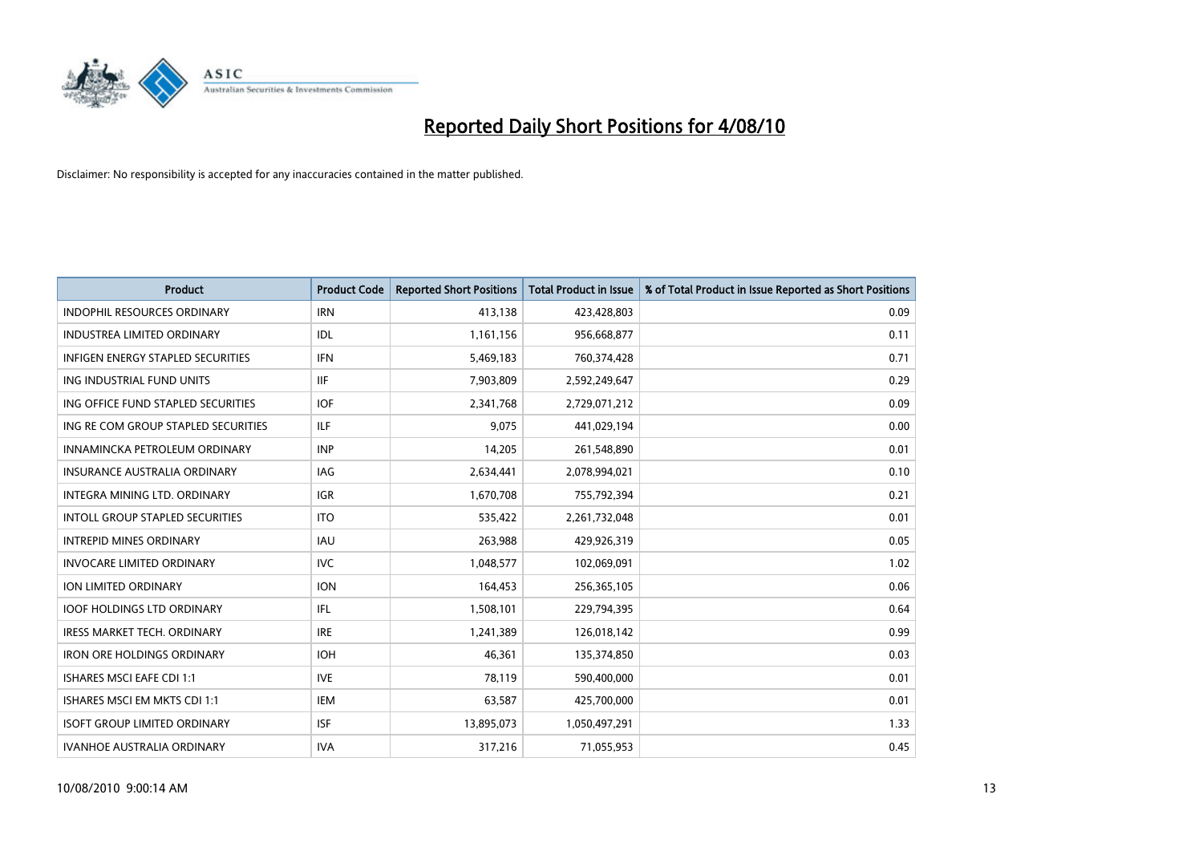

| <b>Product</b>                           | <b>Product Code</b> | <b>Reported Short Positions</b> | <b>Total Product in Issue</b> | % of Total Product in Issue Reported as Short Positions |
|------------------------------------------|---------------------|---------------------------------|-------------------------------|---------------------------------------------------------|
| <b>INDOPHIL RESOURCES ORDINARY</b>       | <b>IRN</b>          | 413,138                         | 423,428,803                   | 0.09                                                    |
| <b>INDUSTREA LIMITED ORDINARY</b>        | IDL                 | 1,161,156                       | 956,668,877                   | 0.11                                                    |
| <b>INFIGEN ENERGY STAPLED SECURITIES</b> | <b>IFN</b>          | 5,469,183                       | 760,374,428                   | 0.71                                                    |
| ING INDUSTRIAL FUND UNITS                | <b>IIF</b>          | 7,903,809                       | 2,592,249,647                 | 0.29                                                    |
| ING OFFICE FUND STAPLED SECURITIES       | <b>IOF</b>          | 2,341,768                       | 2,729,071,212                 | 0.09                                                    |
| ING RE COM GROUP STAPLED SECURITIES      | <b>ILF</b>          | 9,075                           | 441,029,194                   | 0.00                                                    |
| INNAMINCKA PETROLEUM ORDINARY            | <b>INP</b>          | 14,205                          | 261,548,890                   | 0.01                                                    |
| <b>INSURANCE AUSTRALIA ORDINARY</b>      | <b>IAG</b>          | 2,634,441                       | 2,078,994,021                 | 0.10                                                    |
| INTEGRA MINING LTD. ORDINARY             | <b>IGR</b>          | 1,670,708                       | 755,792,394                   | 0.21                                                    |
| <b>INTOLL GROUP STAPLED SECURITIES</b>   | <b>ITO</b>          | 535,422                         | 2,261,732,048                 | 0.01                                                    |
| <b>INTREPID MINES ORDINARY</b>           | <b>IAU</b>          | 263,988                         | 429,926,319                   | 0.05                                                    |
| <b>INVOCARE LIMITED ORDINARY</b>         | <b>IVC</b>          | 1,048,577                       | 102,069,091                   | 1.02                                                    |
| <b>ION LIMITED ORDINARY</b>              | <b>ION</b>          | 164,453                         | 256,365,105                   | 0.06                                                    |
| <b>IOOF HOLDINGS LTD ORDINARY</b>        | IFL.                | 1,508,101                       | 229,794,395                   | 0.64                                                    |
| <b>IRESS MARKET TECH. ORDINARY</b>       | <b>IRE</b>          | 1,241,389                       | 126,018,142                   | 0.99                                                    |
| <b>IRON ORE HOLDINGS ORDINARY</b>        | <b>IOH</b>          | 46,361                          | 135,374,850                   | 0.03                                                    |
| <b>ISHARES MSCI EAFE CDI 1:1</b>         | <b>IVE</b>          | 78,119                          | 590,400,000                   | 0.01                                                    |
| ISHARES MSCI EM MKTS CDI 1:1             | <b>IEM</b>          | 63,587                          | 425,700,000                   | 0.01                                                    |
| <b>ISOFT GROUP LIMITED ORDINARY</b>      | <b>ISF</b>          | 13,895,073                      | 1,050,497,291                 | 1.33                                                    |
| <b>IVANHOE AUSTRALIA ORDINARY</b>        | <b>IVA</b>          | 317,216                         | 71,055,953                    | 0.45                                                    |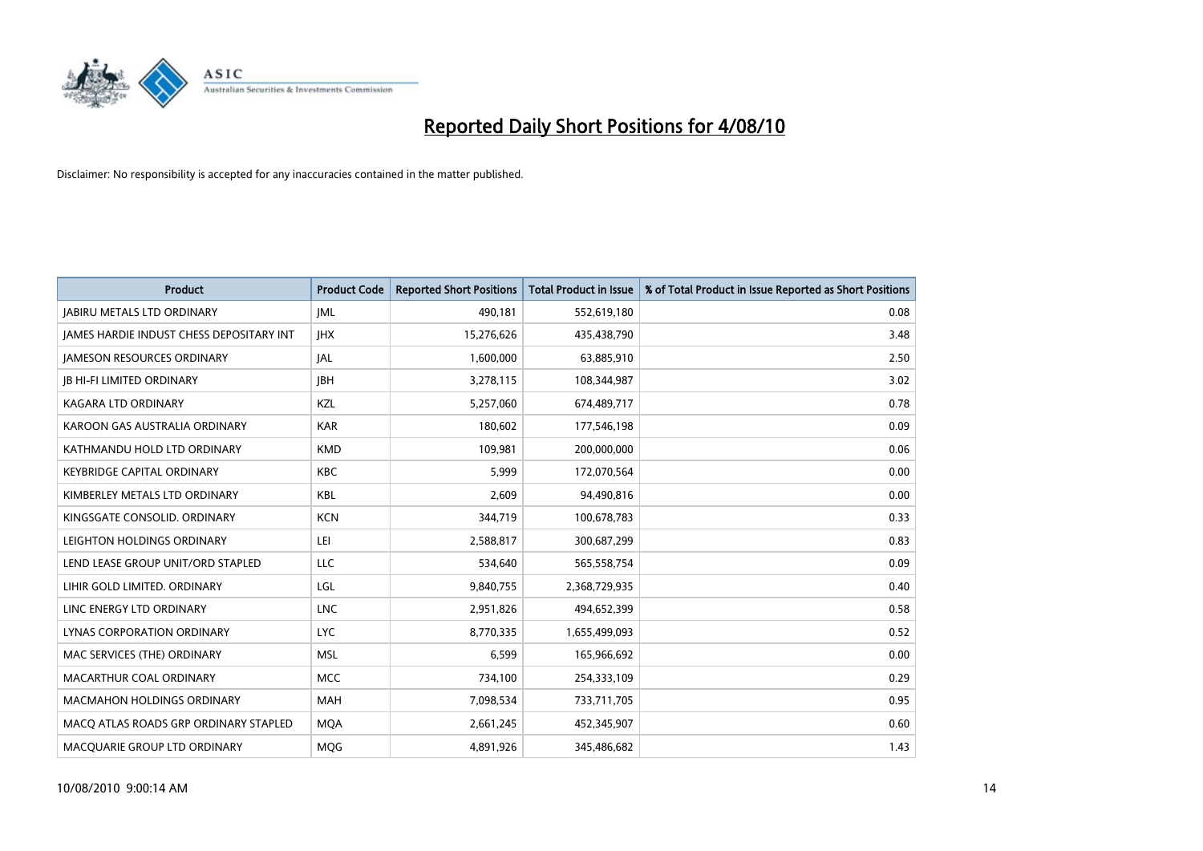

| <b>Product</b>                                  | <b>Product Code</b> | <b>Reported Short Positions</b> | Total Product in Issue | % of Total Product in Issue Reported as Short Positions |
|-------------------------------------------------|---------------------|---------------------------------|------------------------|---------------------------------------------------------|
| <b>JABIRU METALS LTD ORDINARY</b>               | <b>JML</b>          | 490,181                         | 552,619,180            | 0.08                                                    |
| <b>IAMES HARDIE INDUST CHESS DEPOSITARY INT</b> | <b>IHX</b>          | 15,276,626                      | 435,438,790            | 3.48                                                    |
| <b>JAMESON RESOURCES ORDINARY</b>               | JAL                 | 1,600,000                       | 63,885,910             | 2.50                                                    |
| <b>JB HI-FI LIMITED ORDINARY</b>                | <b>IBH</b>          | 3,278,115                       | 108,344,987            | 3.02                                                    |
| <b>KAGARA LTD ORDINARY</b>                      | KZL                 | 5,257,060                       | 674,489,717            | 0.78                                                    |
| KAROON GAS AUSTRALIA ORDINARY                   | <b>KAR</b>          | 180,602                         | 177,546,198            | 0.09                                                    |
| KATHMANDU HOLD LTD ORDINARY                     | <b>KMD</b>          | 109.981                         | 200,000,000            | 0.06                                                    |
| <b>KEYBRIDGE CAPITAL ORDINARY</b>               | <b>KBC</b>          | 5,999                           | 172,070,564            | 0.00                                                    |
| KIMBERLEY METALS LTD ORDINARY                   | <b>KBL</b>          | 2,609                           | 94,490,816             | 0.00                                                    |
| KINGSGATE CONSOLID, ORDINARY                    | <b>KCN</b>          | 344,719                         | 100,678,783            | 0.33                                                    |
| LEIGHTON HOLDINGS ORDINARY                      | LEI                 | 2,588,817                       | 300,687,299            | 0.83                                                    |
| LEND LEASE GROUP UNIT/ORD STAPLED               | LLC                 | 534,640                         | 565,558,754            | 0.09                                                    |
| LIHIR GOLD LIMITED. ORDINARY                    | LGL                 | 9,840,755                       | 2,368,729,935          | 0.40                                                    |
| LINC ENERGY LTD ORDINARY                        | <b>LNC</b>          | 2,951,826                       | 494,652,399            | 0.58                                                    |
| LYNAS CORPORATION ORDINARY                      | <b>LYC</b>          | 8,770,335                       | 1,655,499,093          | 0.52                                                    |
| MAC SERVICES (THE) ORDINARY                     | <b>MSL</b>          | 6,599                           | 165,966,692            | 0.00                                                    |
| MACARTHUR COAL ORDINARY                         | <b>MCC</b>          | 734,100                         | 254,333,109            | 0.29                                                    |
| MACMAHON HOLDINGS ORDINARY                      | <b>MAH</b>          | 7,098,534                       | 733,711,705            | 0.95                                                    |
| MACO ATLAS ROADS GRP ORDINARY STAPLED           | <b>MOA</b>          | 2,661,245                       | 452,345,907            | 0.60                                                    |
| MACQUARIE GROUP LTD ORDINARY                    | <b>MOG</b>          | 4.891.926                       | 345,486,682            | 1.43                                                    |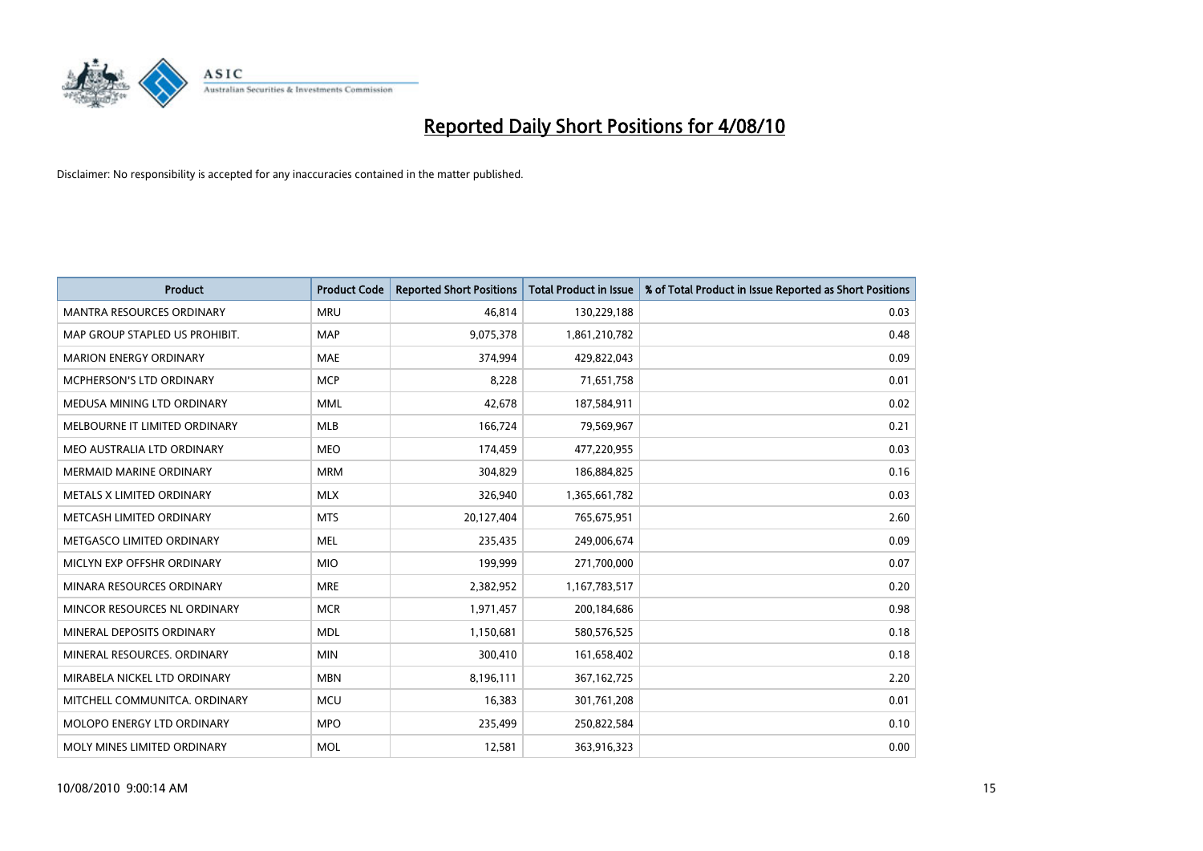

| <b>Product</b>                   | <b>Product Code</b> | <b>Reported Short Positions</b> | <b>Total Product in Issue</b> | % of Total Product in Issue Reported as Short Positions |
|----------------------------------|---------------------|---------------------------------|-------------------------------|---------------------------------------------------------|
| <b>MANTRA RESOURCES ORDINARY</b> | <b>MRU</b>          | 46,814                          | 130,229,188                   | 0.03                                                    |
| MAP GROUP STAPLED US PROHIBIT.   | <b>MAP</b>          | 9,075,378                       | 1,861,210,782                 | 0.48                                                    |
| <b>MARION ENERGY ORDINARY</b>    | <b>MAE</b>          | 374,994                         | 429,822,043                   | 0.09                                                    |
| MCPHERSON'S LTD ORDINARY         | <b>MCP</b>          | 8,228                           | 71,651,758                    | 0.01                                                    |
| MEDUSA MINING LTD ORDINARY       | <b>MML</b>          | 42,678                          | 187,584,911                   | 0.02                                                    |
| MELBOURNE IT LIMITED ORDINARY    | <b>MLB</b>          | 166,724                         | 79,569,967                    | 0.21                                                    |
| MEO AUSTRALIA LTD ORDINARY       | <b>MEO</b>          | 174,459                         | 477,220,955                   | 0.03                                                    |
| <b>MERMAID MARINE ORDINARY</b>   | <b>MRM</b>          | 304,829                         | 186,884,825                   | 0.16                                                    |
| METALS X LIMITED ORDINARY        | <b>MLX</b>          | 326,940                         | 1,365,661,782                 | 0.03                                                    |
| METCASH LIMITED ORDINARY         | <b>MTS</b>          | 20,127,404                      | 765,675,951                   | 2.60                                                    |
| METGASCO LIMITED ORDINARY        | <b>MEL</b>          | 235,435                         | 249,006,674                   | 0.09                                                    |
| MICLYN EXP OFFSHR ORDINARY       | <b>MIO</b>          | 199,999                         | 271,700,000                   | 0.07                                                    |
| MINARA RESOURCES ORDINARY        | <b>MRE</b>          | 2,382,952                       | 1,167,783,517                 | 0.20                                                    |
| MINCOR RESOURCES NL ORDINARY     | <b>MCR</b>          | 1,971,457                       | 200,184,686                   | 0.98                                                    |
| MINERAL DEPOSITS ORDINARY        | <b>MDL</b>          | 1,150,681                       | 580,576,525                   | 0.18                                                    |
| MINERAL RESOURCES. ORDINARY      | <b>MIN</b>          | 300,410                         | 161,658,402                   | 0.18                                                    |
| MIRABELA NICKEL LTD ORDINARY     | <b>MBN</b>          | 8,196,111                       | 367, 162, 725                 | 2.20                                                    |
| MITCHELL COMMUNITCA. ORDINARY    | <b>MCU</b>          | 16,383                          | 301,761,208                   | 0.01                                                    |
| MOLOPO ENERGY LTD ORDINARY       | <b>MPO</b>          | 235,499                         | 250,822,584                   | 0.10                                                    |
| MOLY MINES LIMITED ORDINARY      | <b>MOL</b>          | 12,581                          | 363,916,323                   | 0.00                                                    |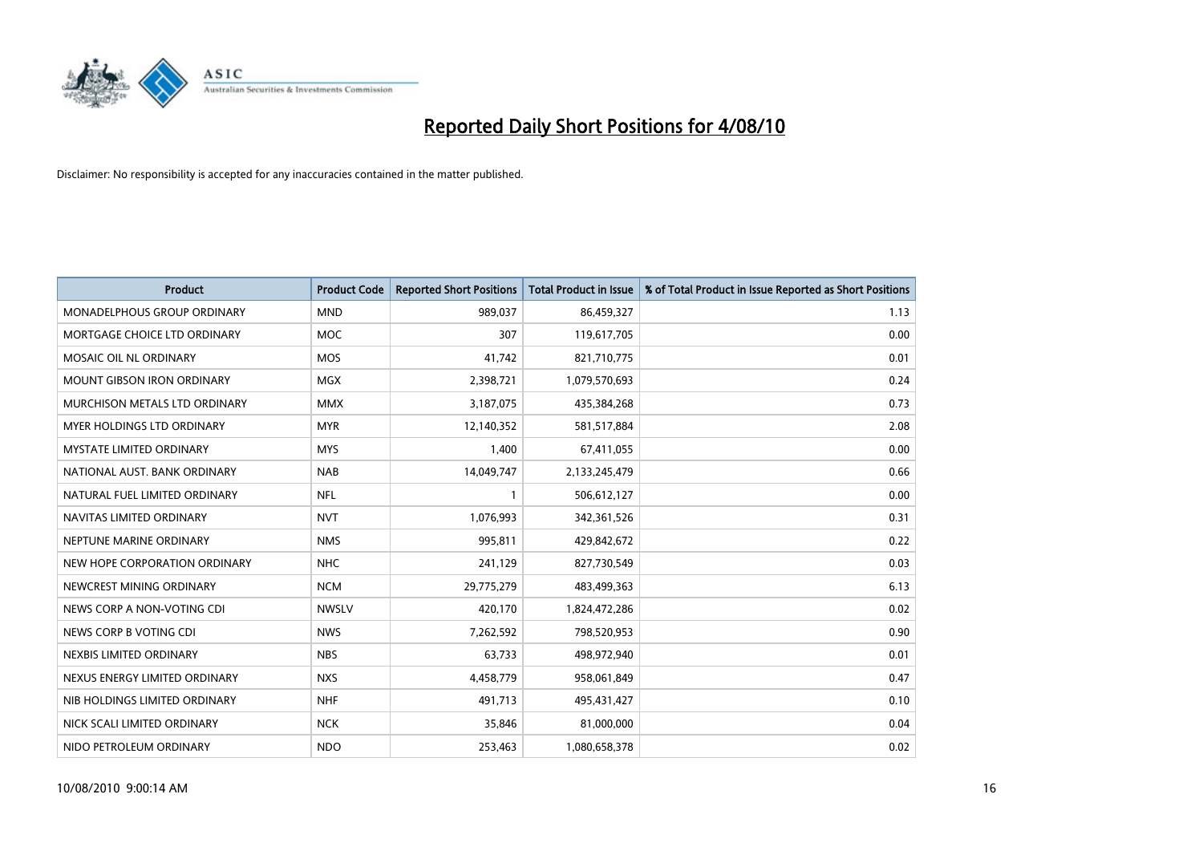

| <b>Product</b>                    | <b>Product Code</b> | <b>Reported Short Positions</b> | Total Product in Issue | % of Total Product in Issue Reported as Short Positions |
|-----------------------------------|---------------------|---------------------------------|------------------------|---------------------------------------------------------|
| MONADELPHOUS GROUP ORDINARY       | <b>MND</b>          | 989,037                         | 86,459,327             | 1.13                                                    |
| MORTGAGE CHOICE LTD ORDINARY      | <b>MOC</b>          | 307                             | 119,617,705            | 0.00                                                    |
| MOSAIC OIL NL ORDINARY            | <b>MOS</b>          | 41,742                          | 821,710,775            | 0.01                                                    |
| MOUNT GIBSON IRON ORDINARY        | <b>MGX</b>          | 2,398,721                       | 1,079,570,693          | 0.24                                                    |
| MURCHISON METALS LTD ORDINARY     | <b>MMX</b>          | 3,187,075                       | 435,384,268            | 0.73                                                    |
| <b>MYER HOLDINGS LTD ORDINARY</b> | <b>MYR</b>          | 12,140,352                      | 581,517,884            | 2.08                                                    |
| <b>MYSTATE LIMITED ORDINARY</b>   | <b>MYS</b>          | 1,400                           | 67,411,055             | 0.00                                                    |
| NATIONAL AUST. BANK ORDINARY      | <b>NAB</b>          | 14,049,747                      | 2,133,245,479          | 0.66                                                    |
| NATURAL FUEL LIMITED ORDINARY     | <b>NFL</b>          |                                 | 506,612,127            | 0.00                                                    |
| NAVITAS LIMITED ORDINARY          | <b>NVT</b>          | 1,076,993                       | 342,361,526            | 0.31                                                    |
| NEPTUNE MARINE ORDINARY           | <b>NMS</b>          | 995,811                         | 429,842,672            | 0.22                                                    |
| NEW HOPE CORPORATION ORDINARY     | <b>NHC</b>          | 241,129                         | 827,730,549            | 0.03                                                    |
| NEWCREST MINING ORDINARY          | <b>NCM</b>          | 29,775,279                      | 483,499,363            | 6.13                                                    |
| NEWS CORP A NON-VOTING CDI        | <b>NWSLV</b>        | 420,170                         | 1,824,472,286          | 0.02                                                    |
| NEWS CORP B VOTING CDI            | <b>NWS</b>          | 7,262,592                       | 798,520,953            | 0.90                                                    |
| NEXBIS LIMITED ORDINARY           | <b>NBS</b>          | 63,733                          | 498,972,940            | 0.01                                                    |
| NEXUS ENERGY LIMITED ORDINARY     | <b>NXS</b>          | 4,458,779                       | 958,061,849            | 0.47                                                    |
| NIB HOLDINGS LIMITED ORDINARY     | <b>NHF</b>          | 491,713                         | 495,431,427            | 0.10                                                    |
| NICK SCALI LIMITED ORDINARY       | <b>NCK</b>          | 35,846                          | 81,000,000             | 0.04                                                    |
| NIDO PETROLEUM ORDINARY           | <b>NDO</b>          | 253,463                         | 1,080,658,378          | 0.02                                                    |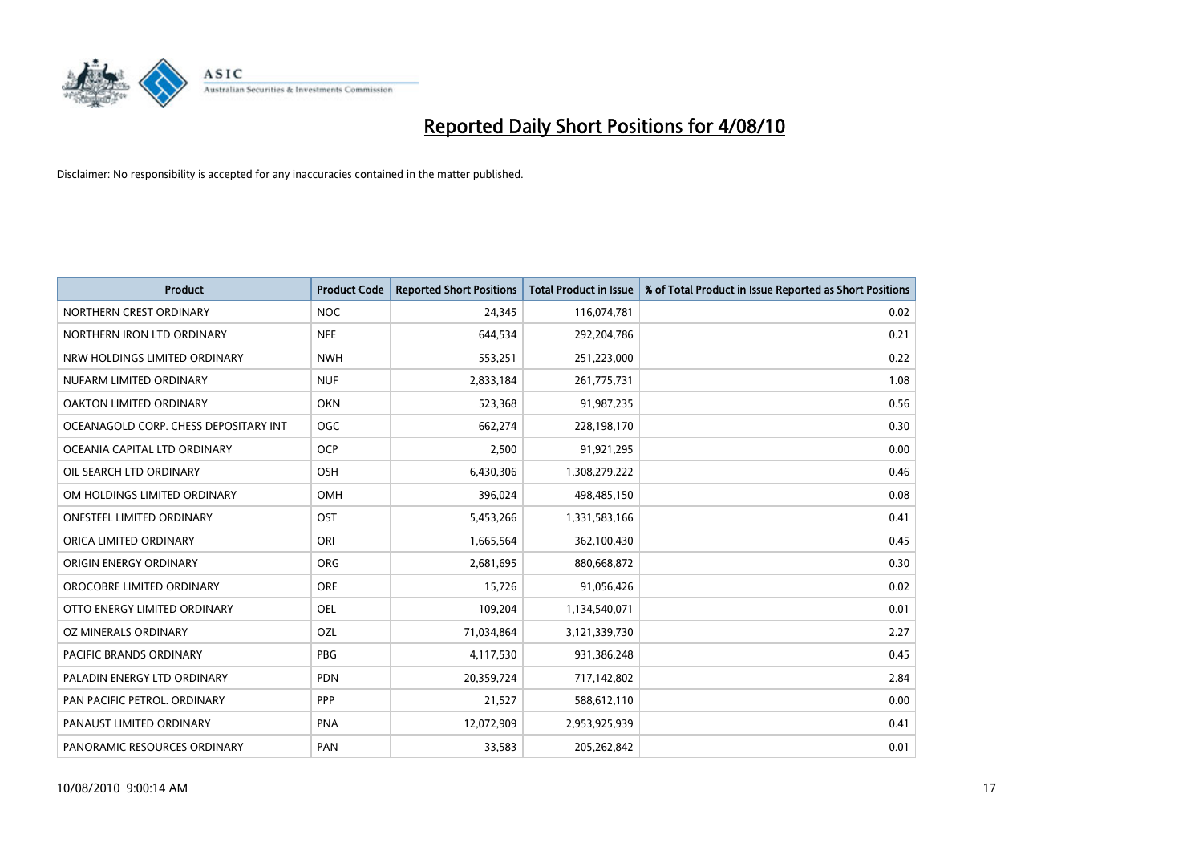

| <b>Product</b>                        | <b>Product Code</b> | <b>Reported Short Positions</b> | <b>Total Product in Issue</b> | % of Total Product in Issue Reported as Short Positions |
|---------------------------------------|---------------------|---------------------------------|-------------------------------|---------------------------------------------------------|
| NORTHERN CREST ORDINARY               | <b>NOC</b>          | 24,345                          | 116,074,781                   | 0.02                                                    |
| NORTHERN IRON LTD ORDINARY            | <b>NFE</b>          | 644,534                         | 292,204,786                   | 0.21                                                    |
| NRW HOLDINGS LIMITED ORDINARY         | <b>NWH</b>          | 553,251                         | 251,223,000                   | 0.22                                                    |
| NUFARM LIMITED ORDINARY               | <b>NUF</b>          | 2,833,184                       | 261,775,731                   | 1.08                                                    |
| <b>OAKTON LIMITED ORDINARY</b>        | <b>OKN</b>          | 523,368                         | 91,987,235                    | 0.56                                                    |
| OCEANAGOLD CORP. CHESS DEPOSITARY INT | <b>OGC</b>          | 662,274                         | 228,198,170                   | 0.30                                                    |
| OCEANIA CAPITAL LTD ORDINARY          | OCP                 | 2,500                           | 91,921,295                    | 0.00                                                    |
| OIL SEARCH LTD ORDINARY               | OSH                 | 6,430,306                       | 1,308,279,222                 | 0.46                                                    |
| OM HOLDINGS LIMITED ORDINARY          | <b>OMH</b>          | 396,024                         | 498,485,150                   | 0.08                                                    |
| <b>ONESTEEL LIMITED ORDINARY</b>      | OST                 | 5,453,266                       | 1,331,583,166                 | 0.41                                                    |
| ORICA LIMITED ORDINARY                | ORI                 | 1,665,564                       | 362,100,430                   | 0.45                                                    |
| ORIGIN ENERGY ORDINARY                | ORG                 | 2,681,695                       | 880,668,872                   | 0.30                                                    |
| OROCOBRE LIMITED ORDINARY             | <b>ORE</b>          | 15,726                          | 91,056,426                    | 0.02                                                    |
| OTTO ENERGY LIMITED ORDINARY          | <b>OEL</b>          | 109,204                         | 1,134,540,071                 | 0.01                                                    |
| OZ MINERALS ORDINARY                  | OZL                 | 71,034,864                      | 3,121,339,730                 | 2.27                                                    |
| <b>PACIFIC BRANDS ORDINARY</b>        | <b>PBG</b>          | 4,117,530                       | 931,386,248                   | 0.45                                                    |
| PALADIN ENERGY LTD ORDINARY           | <b>PDN</b>          | 20,359,724                      | 717,142,802                   | 2.84                                                    |
| PAN PACIFIC PETROL. ORDINARY          | PPP                 | 21,527                          | 588,612,110                   | 0.00                                                    |
| PANAUST LIMITED ORDINARY              | <b>PNA</b>          | 12,072,909                      | 2,953,925,939                 | 0.41                                                    |
| PANORAMIC RESOURCES ORDINARY          | PAN                 | 33,583                          | 205,262,842                   | 0.01                                                    |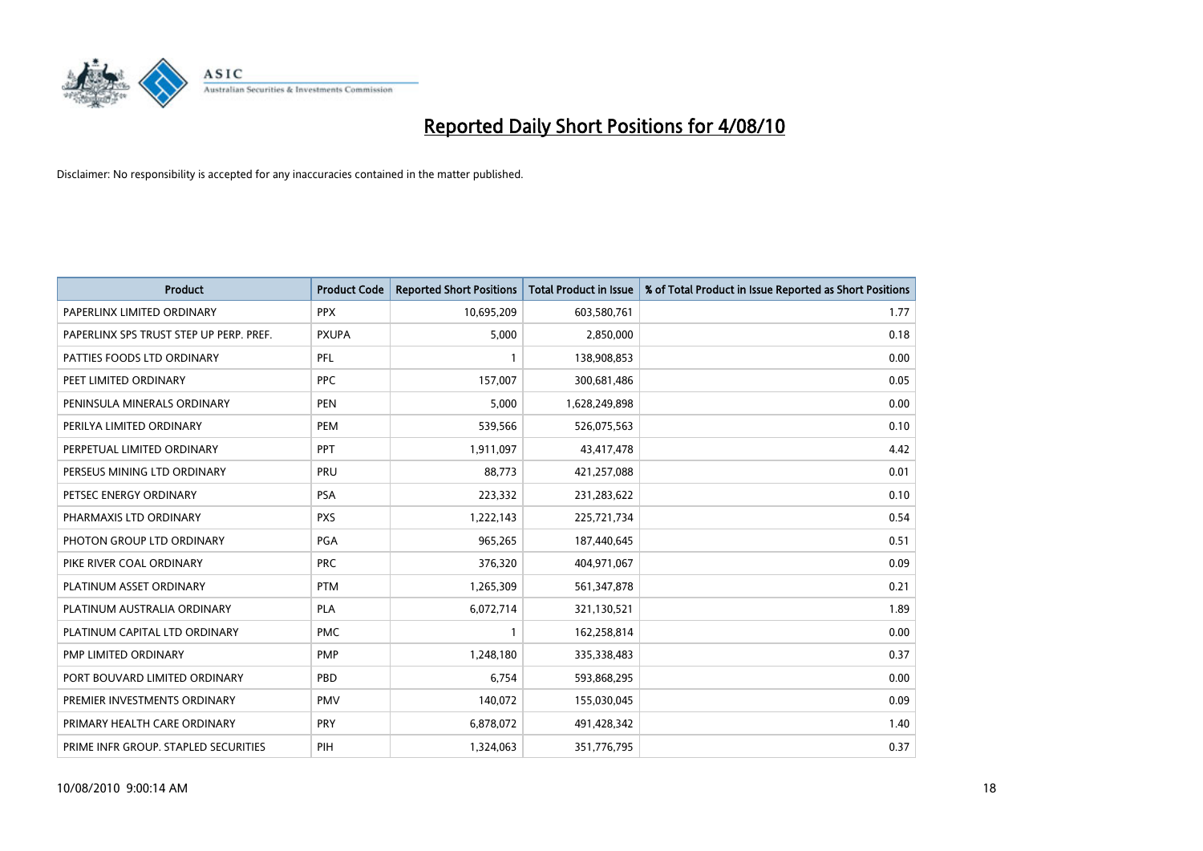

| <b>Product</b>                          | <b>Product Code</b> | <b>Reported Short Positions</b> | Total Product in Issue | % of Total Product in Issue Reported as Short Positions |
|-----------------------------------------|---------------------|---------------------------------|------------------------|---------------------------------------------------------|
| PAPERLINX LIMITED ORDINARY              | <b>PPX</b>          | 10,695,209                      | 603,580,761            | 1.77                                                    |
| PAPERLINX SPS TRUST STEP UP PERP. PREF. | <b>PXUPA</b>        | 5,000                           | 2,850,000              | 0.18                                                    |
| PATTIES FOODS LTD ORDINARY              | PFL                 |                                 | 138,908,853            | 0.00                                                    |
| PEET LIMITED ORDINARY                   | PPC                 | 157,007                         | 300,681,486            | 0.05                                                    |
| PENINSULA MINERALS ORDINARY             | <b>PEN</b>          | 5,000                           | 1,628,249,898          | 0.00                                                    |
| PERILYA LIMITED ORDINARY                | PEM                 | 539,566                         | 526,075,563            | 0.10                                                    |
| PERPETUAL LIMITED ORDINARY              | PPT                 | 1,911,097                       | 43,417,478             | 4.42                                                    |
| PERSEUS MINING LTD ORDINARY             | PRU                 | 88,773                          | 421,257,088            | 0.01                                                    |
| PETSEC ENERGY ORDINARY                  | <b>PSA</b>          | 223,332                         | 231,283,622            | 0.10                                                    |
| PHARMAXIS LTD ORDINARY                  | <b>PXS</b>          | 1,222,143                       | 225,721,734            | 0.54                                                    |
| PHOTON GROUP LTD ORDINARY               | <b>PGA</b>          | 965,265                         | 187,440,645            | 0.51                                                    |
| PIKE RIVER COAL ORDINARY                | <b>PRC</b>          | 376,320                         | 404,971,067            | 0.09                                                    |
| PLATINUM ASSET ORDINARY                 | <b>PTM</b>          | 1,265,309                       | 561,347,878            | 0.21                                                    |
| PLATINUM AUSTRALIA ORDINARY             | <b>PLA</b>          | 6,072,714                       | 321,130,521            | 1.89                                                    |
| PLATINUM CAPITAL LTD ORDINARY           | <b>PMC</b>          |                                 | 162,258,814            | 0.00                                                    |
| PMP LIMITED ORDINARY                    | <b>PMP</b>          | 1,248,180                       | 335,338,483            | 0.37                                                    |
| PORT BOUVARD LIMITED ORDINARY           | PBD                 | 6,754                           | 593,868,295            | 0.00                                                    |
| PREMIER INVESTMENTS ORDINARY            | <b>PMV</b>          | 140,072                         | 155,030,045            | 0.09                                                    |
| PRIMARY HEALTH CARE ORDINARY            | <b>PRY</b>          | 6,878,072                       | 491,428,342            | 1.40                                                    |
| PRIME INFR GROUP. STAPLED SECURITIES    | PIH                 | 1,324,063                       | 351,776,795            | 0.37                                                    |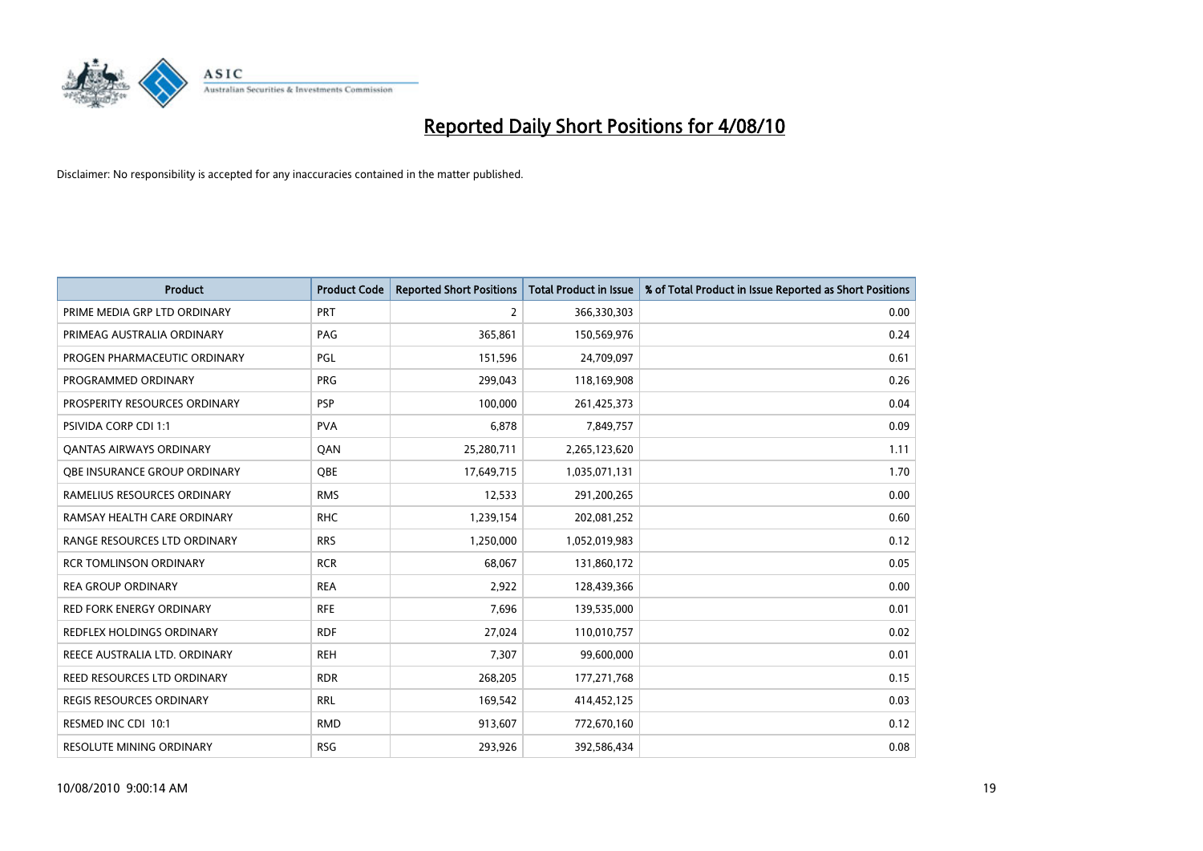

| <b>Product</b>                   | <b>Product Code</b> | <b>Reported Short Positions</b> | <b>Total Product in Issue</b> | % of Total Product in Issue Reported as Short Positions |
|----------------------------------|---------------------|---------------------------------|-------------------------------|---------------------------------------------------------|
| PRIME MEDIA GRP LTD ORDINARY     | <b>PRT</b>          | $\overline{2}$                  | 366,330,303                   | 0.00                                                    |
| PRIMEAG AUSTRALIA ORDINARY       | PAG                 | 365,861                         | 150,569,976                   | 0.24                                                    |
| PROGEN PHARMACEUTIC ORDINARY     | PGL                 | 151,596                         | 24,709,097                    | 0.61                                                    |
| PROGRAMMED ORDINARY              | <b>PRG</b>          | 299,043                         | 118,169,908                   | 0.26                                                    |
| PROSPERITY RESOURCES ORDINARY    | <b>PSP</b>          | 100,000                         | 261,425,373                   | 0.04                                                    |
| PSIVIDA CORP CDI 1:1             | <b>PVA</b>          | 6,878                           | 7,849,757                     | 0.09                                                    |
| <b>QANTAS AIRWAYS ORDINARY</b>   | QAN                 | 25,280,711                      | 2,265,123,620                 | 1.11                                                    |
| OBE INSURANCE GROUP ORDINARY     | OBE                 | 17,649,715                      | 1,035,071,131                 | 1.70                                                    |
| RAMELIUS RESOURCES ORDINARY      | <b>RMS</b>          | 12,533                          | 291,200,265                   | 0.00                                                    |
| RAMSAY HEALTH CARE ORDINARY      | <b>RHC</b>          | 1,239,154                       | 202,081,252                   | 0.60                                                    |
| RANGE RESOURCES LTD ORDINARY     | <b>RRS</b>          | 1,250,000                       | 1,052,019,983                 | 0.12                                                    |
| <b>RCR TOMLINSON ORDINARY</b>    | <b>RCR</b>          | 68,067                          | 131,860,172                   | 0.05                                                    |
| <b>REA GROUP ORDINARY</b>        | <b>REA</b>          | 2,922                           | 128,439,366                   | 0.00                                                    |
| <b>RED FORK ENERGY ORDINARY</b>  | <b>RFE</b>          | 7,696                           | 139,535,000                   | 0.01                                                    |
| <b>REDFLEX HOLDINGS ORDINARY</b> | <b>RDF</b>          | 27.024                          | 110,010,757                   | 0.02                                                    |
| REECE AUSTRALIA LTD. ORDINARY    | <b>REH</b>          | 7,307                           | 99,600,000                    | 0.01                                                    |
| REED RESOURCES LTD ORDINARY      | <b>RDR</b>          | 268,205                         | 177,271,768                   | 0.15                                                    |
| REGIS RESOURCES ORDINARY         | <b>RRL</b>          | 169,542                         | 414,452,125                   | 0.03                                                    |
| RESMED INC CDI 10:1              | <b>RMD</b>          | 913,607                         | 772,670,160                   | 0.12                                                    |
| RESOLUTE MINING ORDINARY         | <b>RSG</b>          | 293,926                         | 392,586,434                   | 0.08                                                    |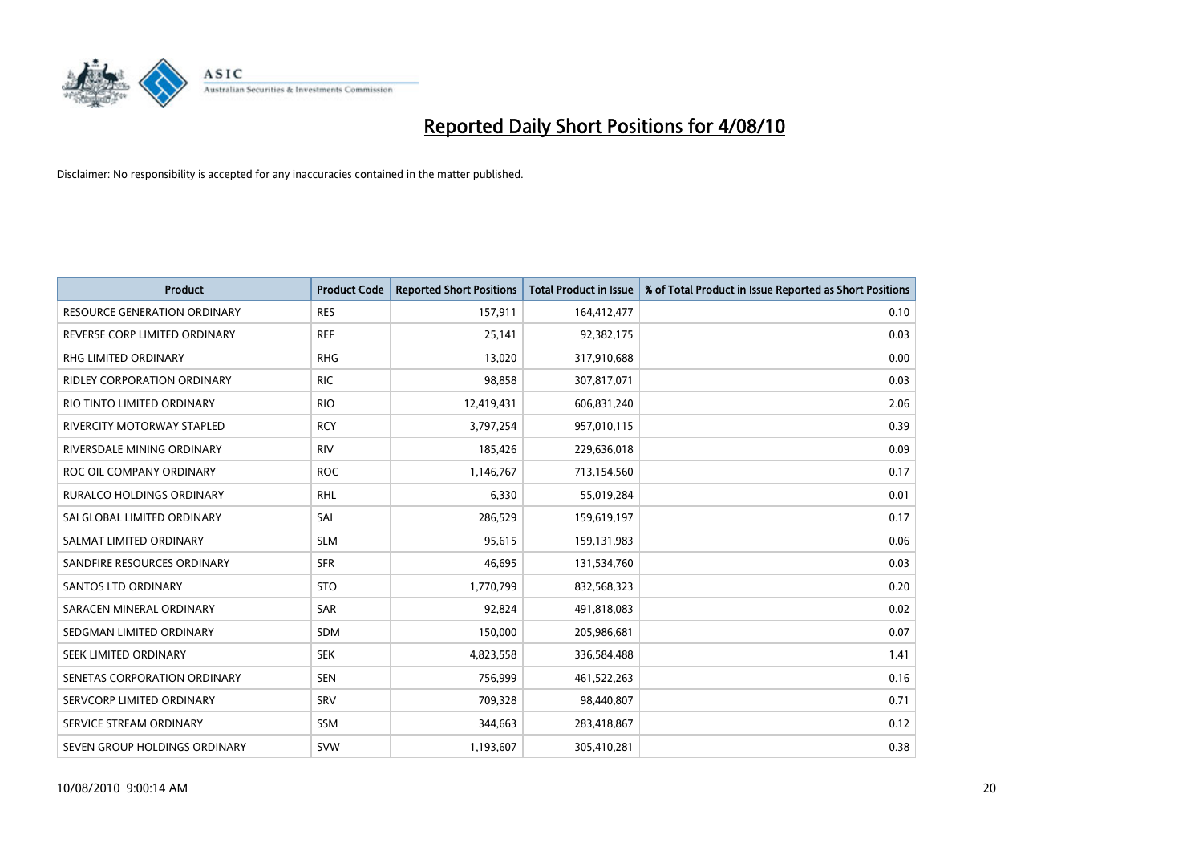

| <b>Product</b>                      | <b>Product Code</b> | <b>Reported Short Positions</b> | <b>Total Product in Issue</b> | % of Total Product in Issue Reported as Short Positions |
|-------------------------------------|---------------------|---------------------------------|-------------------------------|---------------------------------------------------------|
| <b>RESOURCE GENERATION ORDINARY</b> | <b>RES</b>          | 157,911                         | 164,412,477                   | 0.10                                                    |
| REVERSE CORP LIMITED ORDINARY       | <b>REF</b>          | 25,141                          | 92,382,175                    | 0.03                                                    |
| <b>RHG LIMITED ORDINARY</b>         | <b>RHG</b>          | 13,020                          | 317,910,688                   | 0.00                                                    |
| <b>RIDLEY CORPORATION ORDINARY</b>  | <b>RIC</b>          | 98,858                          | 307,817,071                   | 0.03                                                    |
| RIO TINTO LIMITED ORDINARY          | <b>RIO</b>          | 12,419,431                      | 606,831,240                   | 2.06                                                    |
| <b>RIVERCITY MOTORWAY STAPLED</b>   | <b>RCY</b>          | 3,797,254                       | 957,010,115                   | 0.39                                                    |
| RIVERSDALE MINING ORDINARY          | <b>RIV</b>          | 185,426                         | 229,636,018                   | 0.09                                                    |
| ROC OIL COMPANY ORDINARY            | <b>ROC</b>          | 1,146,767                       | 713,154,560                   | 0.17                                                    |
| RURALCO HOLDINGS ORDINARY           | <b>RHL</b>          | 6,330                           | 55,019,284                    | 0.01                                                    |
| SAI GLOBAL LIMITED ORDINARY         | SAI                 | 286,529                         | 159,619,197                   | 0.17                                                    |
| SALMAT LIMITED ORDINARY             | <b>SLM</b>          | 95,615                          | 159,131,983                   | 0.06                                                    |
| SANDFIRE RESOURCES ORDINARY         | <b>SFR</b>          | 46,695                          | 131,534,760                   | 0.03                                                    |
| <b>SANTOS LTD ORDINARY</b>          | <b>STO</b>          | 1,770,799                       | 832,568,323                   | 0.20                                                    |
| SARACEN MINERAL ORDINARY            | <b>SAR</b>          | 92,824                          | 491,818,083                   | 0.02                                                    |
| SEDGMAN LIMITED ORDINARY            | SDM                 | 150,000                         | 205,986,681                   | 0.07                                                    |
| SEEK LIMITED ORDINARY               | <b>SEK</b>          | 4,823,558                       | 336,584,488                   | 1.41                                                    |
| SENETAS CORPORATION ORDINARY        | <b>SEN</b>          | 756,999                         | 461,522,263                   | 0.16                                                    |
| SERVCORP LIMITED ORDINARY           | <b>SRV</b>          | 709,328                         | 98,440,807                    | 0.71                                                    |
| SERVICE STREAM ORDINARY             | <b>SSM</b>          | 344,663                         | 283,418,867                   | 0.12                                                    |
| SEVEN GROUP HOLDINGS ORDINARY       | <b>SVW</b>          | 1,193,607                       | 305,410,281                   | 0.38                                                    |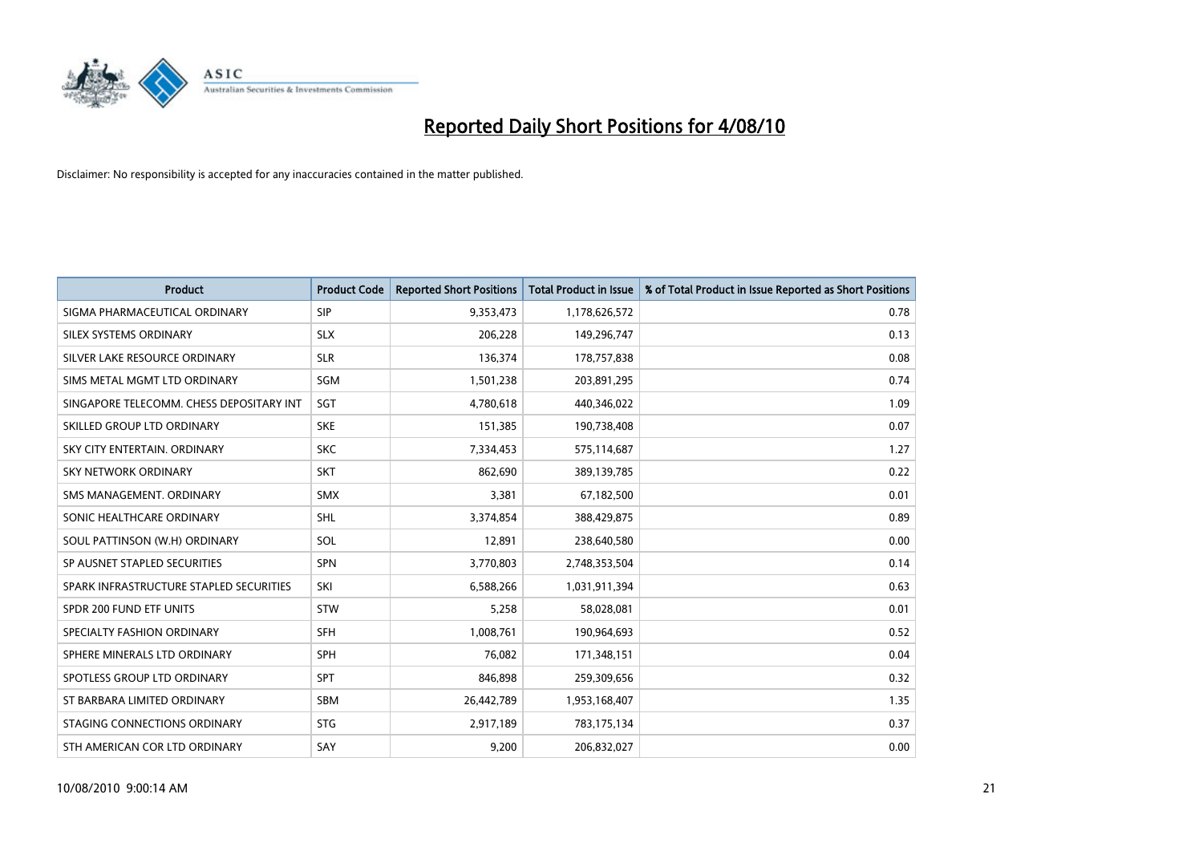

| <b>Product</b>                           | <b>Product Code</b> | <b>Reported Short Positions</b> | <b>Total Product in Issue</b> | % of Total Product in Issue Reported as Short Positions |
|------------------------------------------|---------------------|---------------------------------|-------------------------------|---------------------------------------------------------|
| SIGMA PHARMACEUTICAL ORDINARY            | SIP                 | 9,353,473                       | 1,178,626,572                 | 0.78                                                    |
| SILEX SYSTEMS ORDINARY                   | <b>SLX</b>          | 206,228                         | 149,296,747                   | 0.13                                                    |
| SILVER LAKE RESOURCE ORDINARY            | <b>SLR</b>          | 136,374                         | 178,757,838                   | 0.08                                                    |
| SIMS METAL MGMT LTD ORDINARY             | <b>SGM</b>          | 1,501,238                       | 203,891,295                   | 0.74                                                    |
| SINGAPORE TELECOMM. CHESS DEPOSITARY INT | SGT                 | 4,780,618                       | 440,346,022                   | 1.09                                                    |
| SKILLED GROUP LTD ORDINARY               | <b>SKE</b>          | 151,385                         | 190,738,408                   | 0.07                                                    |
| SKY CITY ENTERTAIN, ORDINARY             | <b>SKC</b>          | 7,334,453                       | 575,114,687                   | 1.27                                                    |
| SKY NETWORK ORDINARY                     | <b>SKT</b>          | 862,690                         | 389,139,785                   | 0.22                                                    |
| SMS MANAGEMENT, ORDINARY                 | <b>SMX</b>          | 3,381                           | 67,182,500                    | 0.01                                                    |
| SONIC HEALTHCARE ORDINARY                | <b>SHL</b>          | 3,374,854                       | 388,429,875                   | 0.89                                                    |
| SOUL PATTINSON (W.H) ORDINARY            | SOL                 | 12,891                          | 238,640,580                   | 0.00                                                    |
| SP AUSNET STAPLED SECURITIES             | SPN                 | 3,770,803                       | 2,748,353,504                 | 0.14                                                    |
| SPARK INFRASTRUCTURE STAPLED SECURITIES  | SKI                 | 6,588,266                       | 1,031,911,394                 | 0.63                                                    |
| SPDR 200 FUND ETF UNITS                  | <b>STW</b>          | 5,258                           | 58,028,081                    | 0.01                                                    |
| SPECIALTY FASHION ORDINARY               | <b>SFH</b>          | 1,008,761                       | 190,964,693                   | 0.52                                                    |
| SPHERE MINERALS LTD ORDINARY             | <b>SPH</b>          | 76,082                          | 171,348,151                   | 0.04                                                    |
| SPOTLESS GROUP LTD ORDINARY              | SPT                 | 846,898                         | 259,309,656                   | 0.32                                                    |
| ST BARBARA LIMITED ORDINARY              | <b>SBM</b>          | 26,442,789                      | 1,953,168,407                 | 1.35                                                    |
| STAGING CONNECTIONS ORDINARY             | <b>STG</b>          | 2,917,189                       | 783,175,134                   | 0.37                                                    |
| STH AMERICAN COR LTD ORDINARY            | SAY                 | 9,200                           | 206,832,027                   | 0.00                                                    |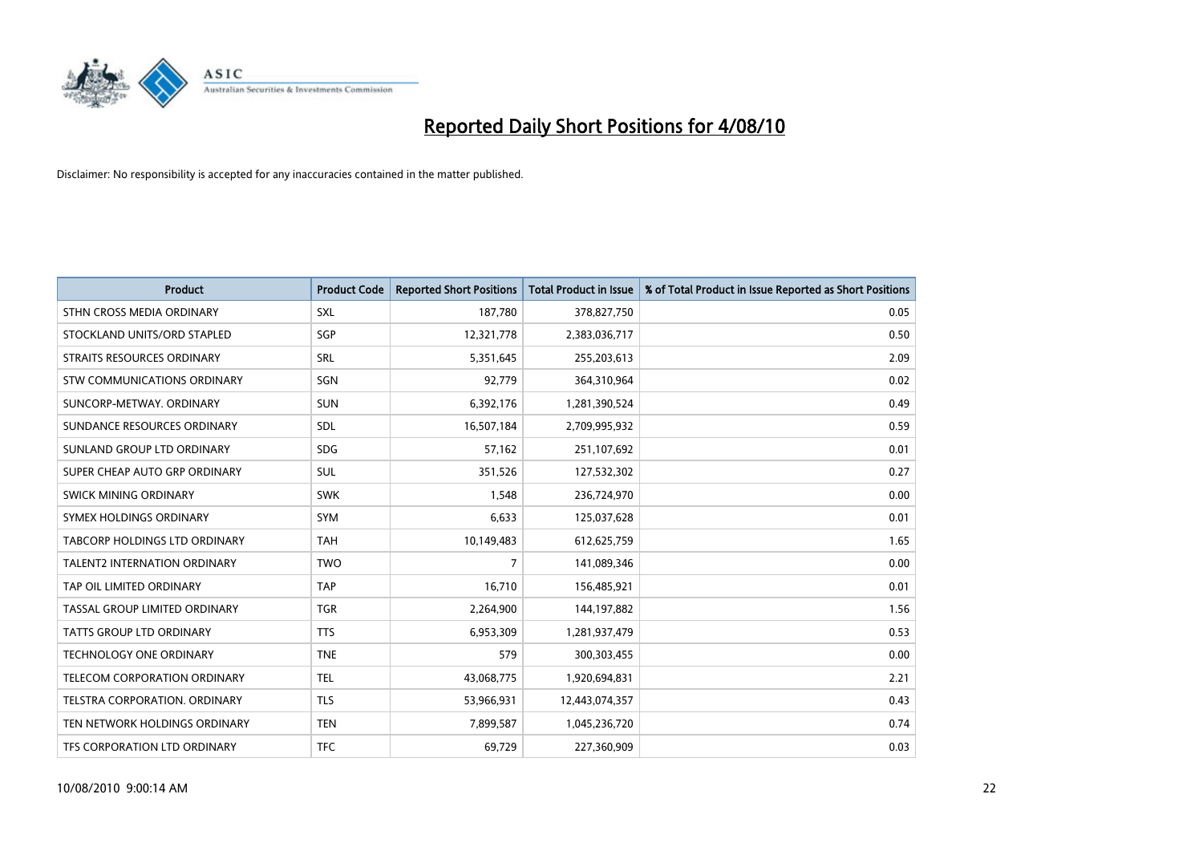

| <b>Product</b>                      | <b>Product Code</b> | <b>Reported Short Positions</b> | <b>Total Product in Issue</b> | % of Total Product in Issue Reported as Short Positions |
|-------------------------------------|---------------------|---------------------------------|-------------------------------|---------------------------------------------------------|
| STHN CROSS MEDIA ORDINARY           | SXL                 | 187,780                         | 378,827,750                   | 0.05                                                    |
| STOCKLAND UNITS/ORD STAPLED         | SGP                 | 12,321,778                      | 2,383,036,717                 | 0.50                                                    |
| STRAITS RESOURCES ORDINARY          | SRL                 | 5,351,645                       | 255,203,613                   | 2.09                                                    |
| STW COMMUNICATIONS ORDINARY         | SGN                 | 92,779                          | 364,310,964                   | 0.02                                                    |
| SUNCORP-METWAY, ORDINARY            | <b>SUN</b>          | 6,392,176                       | 1,281,390,524                 | 0.49                                                    |
| SUNDANCE RESOURCES ORDINARY         | <b>SDL</b>          | 16,507,184                      | 2,709,995,932                 | 0.59                                                    |
| SUNLAND GROUP LTD ORDINARY          | <b>SDG</b>          | 57,162                          | 251,107,692                   | 0.01                                                    |
| SUPER CHEAP AUTO GRP ORDINARY       | SUL                 | 351,526                         | 127,532,302                   | 0.27                                                    |
| SWICK MINING ORDINARY               | <b>SWK</b>          | 1,548                           | 236,724,970                   | 0.00                                                    |
| SYMEX HOLDINGS ORDINARY             | SYM                 | 6,633                           | 125,037,628                   | 0.01                                                    |
| TABCORP HOLDINGS LTD ORDINARY       | <b>TAH</b>          | 10,149,483                      | 612,625,759                   | 1.65                                                    |
| <b>TALENT2 INTERNATION ORDINARY</b> | <b>TWO</b>          | $\overline{7}$                  | 141,089,346                   | 0.00                                                    |
| TAP OIL LIMITED ORDINARY            | TAP                 | 16,710                          | 156,485,921                   | 0.01                                                    |
| TASSAL GROUP LIMITED ORDINARY       | <b>TGR</b>          | 2,264,900                       | 144,197,882                   | 1.56                                                    |
| <b>TATTS GROUP LTD ORDINARY</b>     | <b>TTS</b>          | 6,953,309                       | 1,281,937,479                 | 0.53                                                    |
| TECHNOLOGY ONE ORDINARY             | <b>TNE</b>          | 579                             | 300,303,455                   | 0.00                                                    |
| TELECOM CORPORATION ORDINARY        | <b>TEL</b>          | 43,068,775                      | 1,920,694,831                 | 2.21                                                    |
| TELSTRA CORPORATION. ORDINARY       | <b>TLS</b>          | 53,966,931                      | 12,443,074,357                | 0.43                                                    |
| TEN NETWORK HOLDINGS ORDINARY       | <b>TEN</b>          | 7,899,587                       | 1,045,236,720                 | 0.74                                                    |
| TFS CORPORATION LTD ORDINARY        | <b>TFC</b>          | 69,729                          | 227,360,909                   | 0.03                                                    |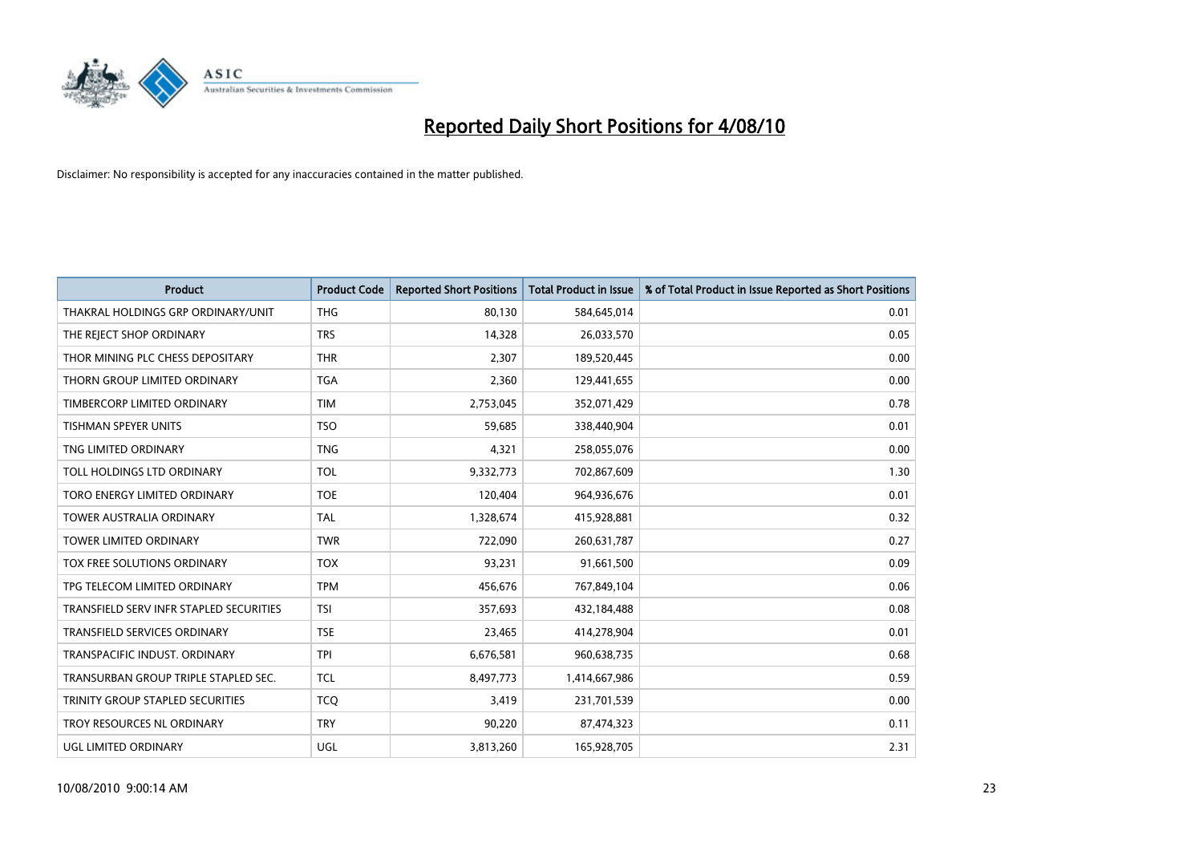

| <b>Product</b>                          | <b>Product Code</b> | <b>Reported Short Positions</b> | Total Product in Issue | % of Total Product in Issue Reported as Short Positions |
|-----------------------------------------|---------------------|---------------------------------|------------------------|---------------------------------------------------------|
| THAKRAL HOLDINGS GRP ORDINARY/UNIT      | <b>THG</b>          | 80,130                          | 584,645,014            | 0.01                                                    |
| THE REJECT SHOP ORDINARY                | <b>TRS</b>          | 14,328                          | 26,033,570             | 0.05                                                    |
| THOR MINING PLC CHESS DEPOSITARY        | <b>THR</b>          | 2,307                           | 189,520,445            | 0.00                                                    |
| THORN GROUP LIMITED ORDINARY            | <b>TGA</b>          | 2,360                           | 129,441,655            | 0.00                                                    |
| TIMBERCORP LIMITED ORDINARY             | <b>TIM</b>          | 2,753,045                       | 352,071,429            | 0.78                                                    |
| <b>TISHMAN SPEYER UNITS</b>             | <b>TSO</b>          | 59,685                          | 338,440,904            | 0.01                                                    |
| TNG LIMITED ORDINARY                    | <b>TNG</b>          | 4,321                           | 258,055,076            | 0.00                                                    |
| TOLL HOLDINGS LTD ORDINARY              | <b>TOL</b>          | 9,332,773                       | 702,867,609            | 1.30                                                    |
| TORO ENERGY LIMITED ORDINARY            | <b>TOE</b>          | 120,404                         | 964,936,676            | 0.01                                                    |
| <b>TOWER AUSTRALIA ORDINARY</b>         | <b>TAL</b>          | 1,328,674                       | 415,928,881            | 0.32                                                    |
| TOWER LIMITED ORDINARY                  | <b>TWR</b>          | 722,090                         | 260,631,787            | 0.27                                                    |
| <b>TOX FREE SOLUTIONS ORDINARY</b>      | <b>TOX</b>          | 93,231                          | 91,661,500             | 0.09                                                    |
| TPG TELECOM LIMITED ORDINARY            | <b>TPM</b>          | 456,676                         | 767,849,104            | 0.06                                                    |
| TRANSFIELD SERV INFR STAPLED SECURITIES | <b>TSI</b>          | 357,693                         | 432,184,488            | 0.08                                                    |
| <b>TRANSFIELD SERVICES ORDINARY</b>     | <b>TSE</b>          | 23,465                          | 414,278,904            | 0.01                                                    |
| TRANSPACIFIC INDUST. ORDINARY           | <b>TPI</b>          | 6,676,581                       | 960,638,735            | 0.68                                                    |
| TRANSURBAN GROUP TRIPLE STAPLED SEC.    | <b>TCL</b>          | 8,497,773                       | 1,414,667,986          | 0.59                                                    |
| TRINITY GROUP STAPLED SECURITIES        | <b>TCQ</b>          | 3,419                           | 231,701,539            | 0.00                                                    |
| TROY RESOURCES NL ORDINARY              | <b>TRY</b>          | 90,220                          | 87,474,323             | 0.11                                                    |
| UGL LIMITED ORDINARY                    | UGL                 | 3,813,260                       | 165,928,705            | 2.31                                                    |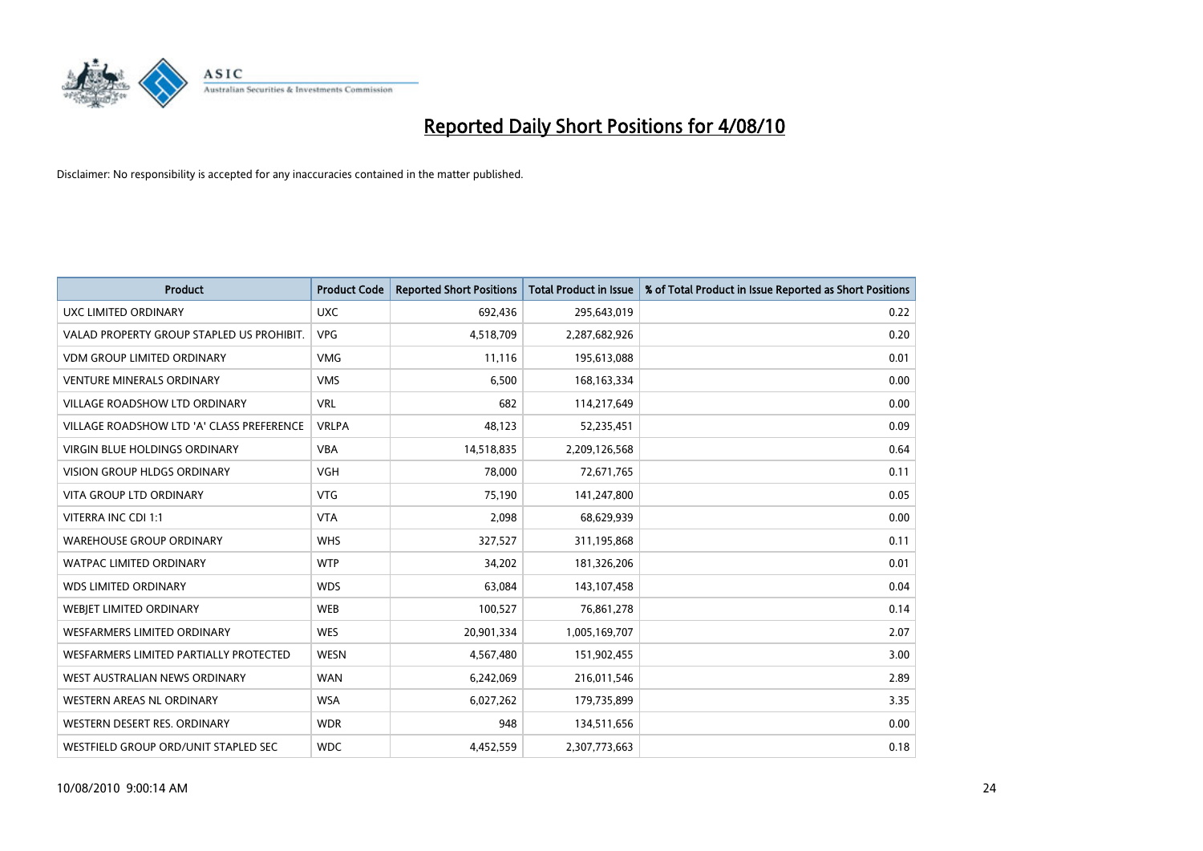

| <b>Product</b>                            | <b>Product Code</b> | <b>Reported Short Positions</b> | Total Product in Issue | % of Total Product in Issue Reported as Short Positions |
|-------------------------------------------|---------------------|---------------------------------|------------------------|---------------------------------------------------------|
| UXC LIMITED ORDINARY                      | <b>UXC</b>          | 692,436                         | 295,643,019            | 0.22                                                    |
| VALAD PROPERTY GROUP STAPLED US PROHIBIT. | <b>VPG</b>          | 4,518,709                       | 2,287,682,926          | 0.20                                                    |
| <b>VDM GROUP LIMITED ORDINARY</b>         | <b>VMG</b>          | 11,116                          | 195,613,088            | 0.01                                                    |
| <b>VENTURE MINERALS ORDINARY</b>          | <b>VMS</b>          | 6,500                           | 168, 163, 334          | 0.00                                                    |
| <b>VILLAGE ROADSHOW LTD ORDINARY</b>      | <b>VRL</b>          | 682                             | 114,217,649            | 0.00                                                    |
| VILLAGE ROADSHOW LTD 'A' CLASS PREFERENCE | <b>VRLPA</b>        | 48.123                          | 52,235,451             | 0.09                                                    |
| <b>VIRGIN BLUE HOLDINGS ORDINARY</b>      | <b>VBA</b>          | 14,518,835                      | 2,209,126,568          | 0.64                                                    |
| VISION GROUP HLDGS ORDINARY               | <b>VGH</b>          | 78,000                          | 72,671,765             | 0.11                                                    |
| VITA GROUP LTD ORDINARY                   | <b>VTG</b>          | 75,190                          | 141,247,800            | 0.05                                                    |
| VITERRA INC CDI 1:1                       | <b>VTA</b>          | 2,098                           | 68,629,939             | 0.00                                                    |
| <b>WAREHOUSE GROUP ORDINARY</b>           | <b>WHS</b>          | 327,527                         | 311,195,868            | 0.11                                                    |
| <b>WATPAC LIMITED ORDINARY</b>            | <b>WTP</b>          | 34,202                          | 181,326,206            | 0.01                                                    |
| <b>WDS LIMITED ORDINARY</b>               | <b>WDS</b>          | 63,084                          | 143,107,458            | 0.04                                                    |
| WEBIET LIMITED ORDINARY                   | <b>WEB</b>          | 100,527                         | 76,861,278             | 0.14                                                    |
| <b>WESFARMERS LIMITED ORDINARY</b>        | <b>WES</b>          | 20,901,334                      | 1,005,169,707          | 2.07                                                    |
| WESFARMERS LIMITED PARTIALLY PROTECTED    | <b>WESN</b>         | 4,567,480                       | 151,902,455            | 3.00                                                    |
| WEST AUSTRALIAN NEWS ORDINARY             | <b>WAN</b>          | 6,242,069                       | 216,011,546            | 2.89                                                    |
| <b>WESTERN AREAS NL ORDINARY</b>          | <b>WSA</b>          | 6,027,262                       | 179,735,899            | 3.35                                                    |
| WESTERN DESERT RES. ORDINARY              | <b>WDR</b>          | 948                             | 134,511,656            | 0.00                                                    |
| WESTFIELD GROUP ORD/UNIT STAPLED SEC      | <b>WDC</b>          | 4,452,559                       | 2,307,773,663          | 0.18                                                    |